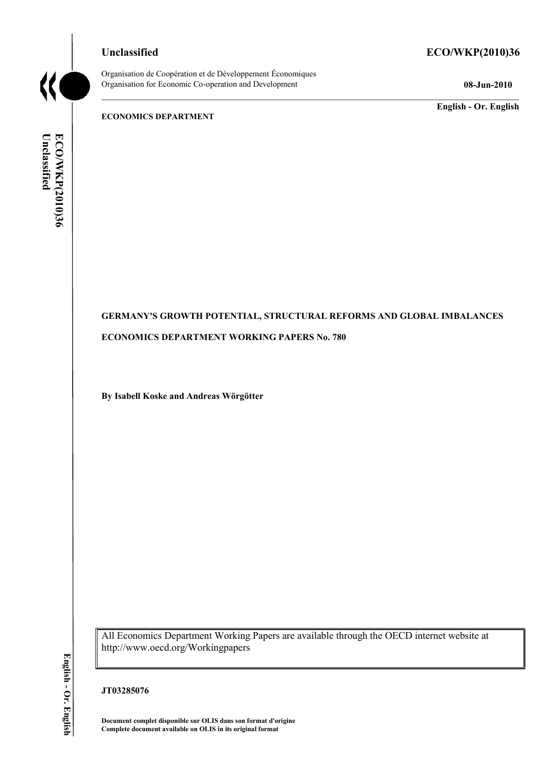Organisation de Coopération et de Développement Économiques Organisation for Economic Co-operation and Development **08-Jun-2010** 

# **Unclassified ECO/WKP(2010)36**

**English - Or. English** 

**ECONOMICS DEPARTMENT** 

Unclassified **ECO/WKP(2010)36 Unclassified ECO/WKP(2010)36 English - Or. English**

# **GERMANY'S GROWTH POTENTIAL, STRUCTURAL REFORMS AND GLOBAL IMBALANCES**

**ECONOMICS DEPARTMENT WORKING PAPERS No. 780** 

**By Isabell Koske and Andreas Wörgötter** 

All Economics Department Working Papers are available through the OECD internet website at http://www.oecd.org/Workingpapers

**JT03285076** 

**Document complet disponible sur OLIS dans son format d'origine Complete document available on OLIS in its original format**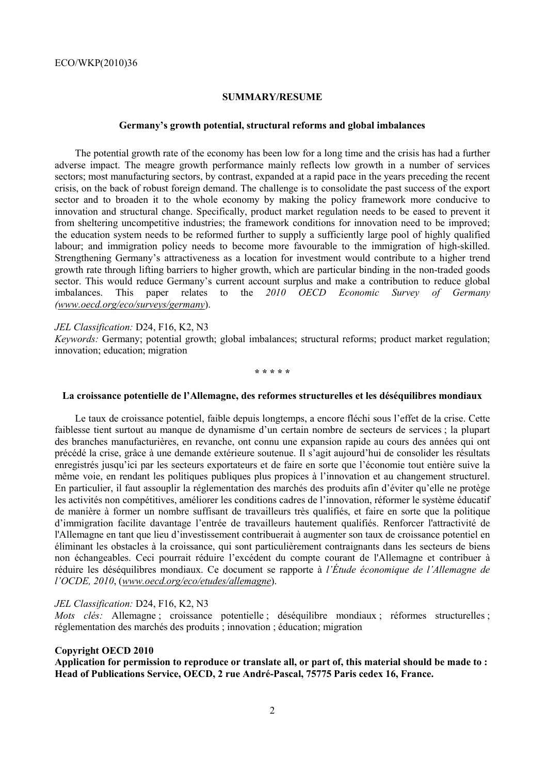### **SUMMARY/RESUME**

# **Germany's growth potential, structural reforms and global imbalances**

The potential growth rate of the economy has been low for a long time and the crisis has had a further adverse impact. The meagre growth performance mainly reflects low growth in a number of services sectors; most manufacturing sectors, by contrast, expanded at a rapid pace in the years preceding the recent crisis, on the back of robust foreign demand. The challenge is to consolidate the past success of the export sector and to broaden it to the whole economy by making the policy framework more conducive to innovation and structural change. Specifically, product market regulation needs to be eased to prevent it from sheltering uncompetitive industries; the framework conditions for innovation need to be improved; the education system needs to be reformed further to supply a sufficiently large pool of highly qualified labour; and immigration policy needs to become more favourable to the immigration of high-skilled. Strengthening Germany's attractiveness as a location for investment would contribute to a higher trend growth rate through lifting barriers to higher growth, which are particular binding in the non-traded goods sector. This would reduce Germany's current account surplus and make a contribution to reduce global imbalances. This paper relates to the *2010 OECD Economic Survey of Germany (www.oecd.org/eco/surveys/germany*).

*JEL Classification:* D24, F16, K2, N3

*Keywords:* Germany; potential growth; global imbalances; structural reforms; product market regulation; innovation; education; migration

**\* \* \* \* \*** 

### **La croissance potentielle de l'Allemagne, des reformes structurelles et les déséquilibres mondiaux**

Le taux de croissance potentiel, faible depuis longtemps, a encore fléchi sous l'effet de la crise. Cette faiblesse tient surtout au manque de dynamisme d'un certain nombre de secteurs de services ; la plupart des branches manufacturières, en revanche, ont connu une expansion rapide au cours des années qui ont précédé la crise, grâce à une demande extérieure soutenue. Il s'agit aujourd'hui de consolider les résultats enregistrés jusqu'ici par les secteurs exportateurs et de faire en sorte que l'économie tout entière suive la même voie, en rendant les politiques publiques plus propices à l'innovation et au changement structurel. En particulier, il faut assouplir la réglementation des marchés des produits afin d'éviter qu'elle ne protège les activités non compétitives, améliorer les conditions cadres de l'innovation, réformer le système éducatif de manière à former un nombre suffisant de travailleurs très qualifiés, et faire en sorte que la politique d'immigration facilite davantage l'entrée de travailleurs hautement qualifiés. Renforcer l'attractivité de l'Allemagne en tant que lieu d'investissement contribuerait à augmenter son taux de croissance potentiel en éliminant les obstacles à la croissance, qui sont particulièrement contraignants dans les secteurs de biens non échangeables. Ceci pourrait réduire l'excédent du compte courant de l'Allemagne et contribuer à réduire les déséquilibres mondiaux. Ce document se rapporte à *l'Étude économique de l'Allemagne de l'OCDE, 2010*, (*www.oecd.org/eco/etudes/allemagne*).

*JEL Classification:* D24, F16, K2, N3

*Mots clés:* Allemagne ; croissance potentielle ; déséquilibre mondiaux ; réformes structurelles ; réglementation des marchés des produits ; innovation ; éducation; migration

# **Copyright OECD 2010**

**Application for permission to reproduce or translate all, or part of, this material should be made to : Head of Publications Service, OECD, 2 rue André-Pascal, 75775 Paris cedex 16, France.**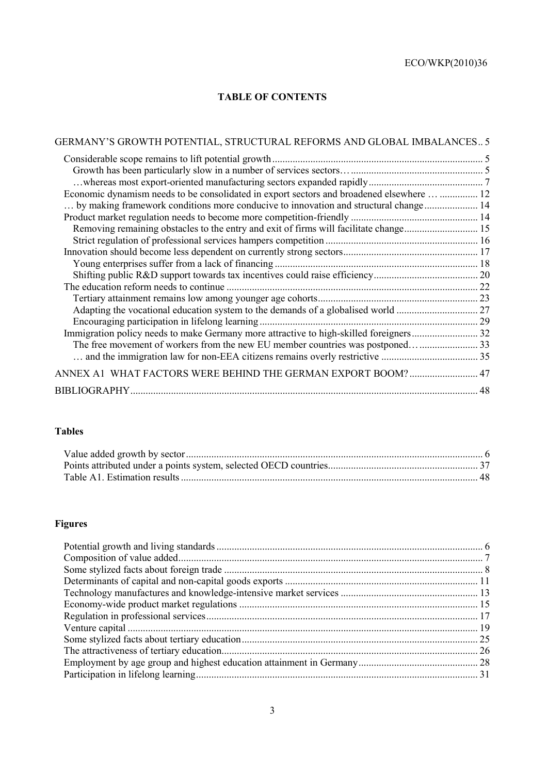# **TABLE OF CONTENTS**

| GERMANY'S GROWTH POTENTIAL, STRUCTURAL REFORMS AND GLOBAL IMBALANCES 5                    |  |
|-------------------------------------------------------------------------------------------|--|
|                                                                                           |  |
|                                                                                           |  |
|                                                                                           |  |
| Economic dynamism needs to be consolidated in export sectors and broadened elsewhere   12 |  |
| by making framework conditions more conducive to innovation and structural change 14      |  |
|                                                                                           |  |
|                                                                                           |  |
|                                                                                           |  |
|                                                                                           |  |
|                                                                                           |  |
|                                                                                           |  |
|                                                                                           |  |
|                                                                                           |  |
|                                                                                           |  |
|                                                                                           |  |
|                                                                                           |  |
| The free movement of workers from the new EU member countries was postponed33             |  |
|                                                                                           |  |
| ANNEX A1 WHAT FACTORS WERE BEHIND THE GERMAN EXPORT BOOM? 47                              |  |
|                                                                                           |  |
|                                                                                           |  |

# **Tables**

# **Figures**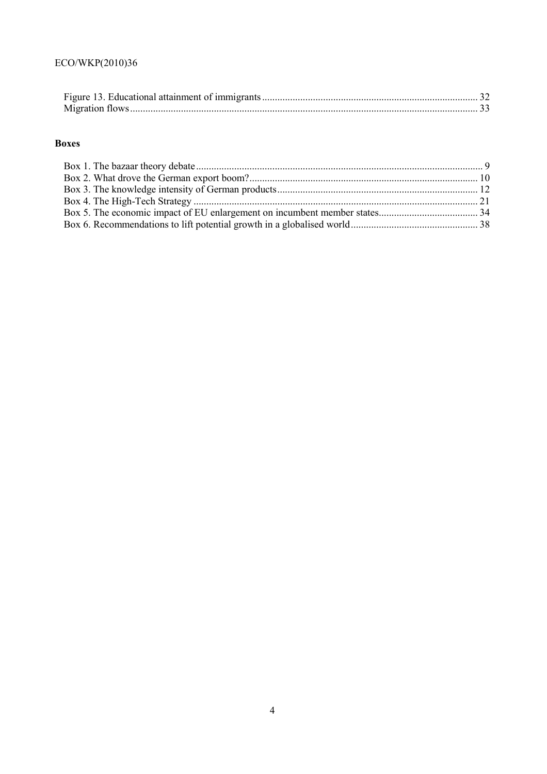# **Boxes**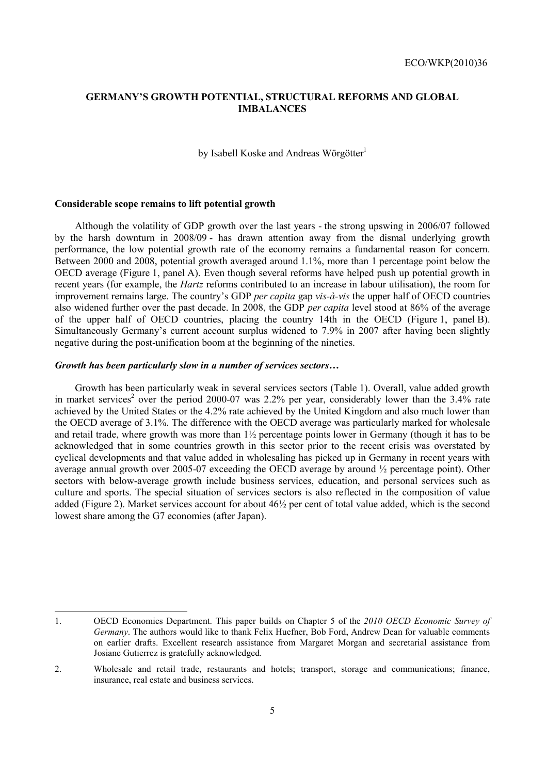# **GERMANY'S GROWTH POTENTIAL, STRUCTURAL REFORMS AND GLOBAL IMBALANCES**

by Isabell Koske and Andreas Wörgötter<sup>1</sup>

#### **Considerable scope remains to lift potential growth**

Although the volatility of GDP growth over the last years - the strong upswing in 2006/07 followed by the harsh downturn in 2008/09 - has drawn attention away from the dismal underlying growth performance, the low potential growth rate of the economy remains a fundamental reason for concern. Between 2000 and 2008, potential growth averaged around 1.1%, more than 1 percentage point below the OECD average (Figure 1, panel A). Even though several reforms have helped push up potential growth in recent years (for example, the *Hartz* reforms contributed to an increase in labour utilisation), the room for improvement remains large. The country's GDP *per capita* gap *vis-à-vis* the upper half of OECD countries also widened further over the past decade. In 2008, the GDP *per capita* level stood at 86% of the average of the upper half of OECD countries, placing the country 14th in the OECD (Figure 1, panel B). Simultaneously Germany's current account surplus widened to 7.9% in 2007 after having been slightly negative during the post-unification boom at the beginning of the nineties.

### *Growth has been particularly slow in a number of services sectors…*

 $\overline{a}$ 

Growth has been particularly weak in several services sectors (Table 1). Overall, value added growth in market services<sup>2</sup> over the period 2000-07 was 2.2% per year, considerably lower than the 3.4% rate achieved by the United States or the 4.2% rate achieved by the United Kingdom and also much lower than the OECD average of 3.1%. The difference with the OECD average was particularly marked for wholesale and retail trade, where growth was more than 1½ percentage points lower in Germany (though it has to be acknowledged that in some countries growth in this sector prior to the recent crisis was overstated by cyclical developments and that value added in wholesaling has picked up in Germany in recent years with average annual growth over 2005-07 exceeding the OECD average by around ½ percentage point). Other sectors with below-average growth include business services, education, and personal services such as culture and sports. The special situation of services sectors is also reflected in the composition of value added (Figure 2). Market services account for about 46½ per cent of total value added, which is the second lowest share among the G7 economies (after Japan).

<sup>1.</sup> OECD Economics Department. This paper builds on Chapter 5 of the *2010 OECD Economic Survey of Germany*. The authors would like to thank Felix Huefner, Bob Ford, Andrew Dean for valuable comments on earlier drafts. Excellent research assistance from Margaret Morgan and secretarial assistance from Josiane Gutierrez is gratefully acknowledged.

<sup>2.</sup> Wholesale and retail trade, restaurants and hotels; transport, storage and communications; finance, insurance, real estate and business services.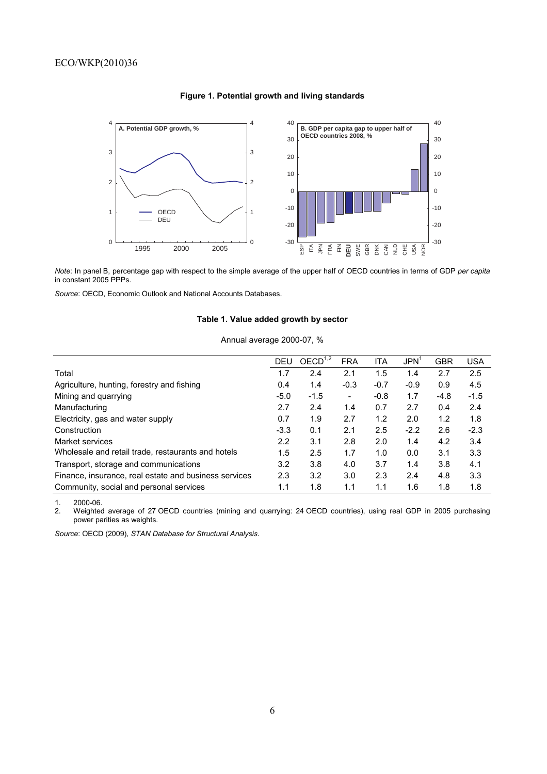

# **Figure 1. Potential growth and living standards**

*Note*: In panel B, percentage gap with respect to the simple average of the upper half of OECD countries in terms of GDP *per capita* in constant 2005 PPPs.

*Source*: OECD, Economic Outlook and National Accounts Databases.

# **Table 1. Value added growth by sector**

# Annual average 2000-07, %

|                                                       | <b>DEU</b> | $OECD^{1,2}$ | <b>FRA</b>               | <b>ITA</b> | JPN <sup>1</sup> | <b>GBR</b> | <b>USA</b> |
|-------------------------------------------------------|------------|--------------|--------------------------|------------|------------------|------------|------------|
| Total                                                 | 1.7        | 2.4          | 2.1                      | 1.5        | 1.4              | 2.7        | 2.5        |
| Agriculture, hunting, forestry and fishing            | 0.4        | 1.4          | $-0.3$                   | $-0.7$     | $-0.9$           | 0.9        | 4.5        |
| Mining and quarrying                                  | $-5.0$     | $-1.5$       | $\overline{\phantom{a}}$ | $-0.8$     | 1.7              | $-4.8$     | $-1.5$     |
| Manufacturing                                         | 2.7        | 2.4          | 1.4                      | 0.7        | 2.7              | 0.4        | 2.4        |
| Electricity, gas and water supply                     | 0.7        | 1.9          | 2.7                      | 1.2        | 2.0              | 1.2        | 1.8        |
| Construction                                          | $-3.3$     | 0.1          | 2.1                      | 2.5        | $-2.2$           | 2.6        | $-2.3$     |
| Market services                                       | 2.2        | 3.1          | 2.8                      | 2.0        | 1.4              | 4.2        | 3.4        |
| Wholesale and retail trade, restaurants and hotels    | 1.5        | 2.5          | 1.7                      | 1.0        | 0.0              | 3.1        | 3.3        |
| Transport, storage and communications                 | 3.2        | 3.8          | 4.0                      | 3.7        | 1.4              | 3.8        | 4.1        |
| Finance, insurance, real estate and business services | 2.3        | 3.2          | 3.0                      | 2.3        | 2.4              | 4.8        | 3.3        |
| Community, social and personal services               | 1.1        | 1.8          | 1.1                      | 1.1        | 1.6              | 1.8        | 1.8        |

1. 2000-06.<br>2. Weighted 2. Weighted average of 27 OECD countries (mining and quarrying: 24 OECD countries), using real GDP in 2005 purchasing power parities as weights.

*Source*: OECD (2009), *STAN Database for Structural Analysis*.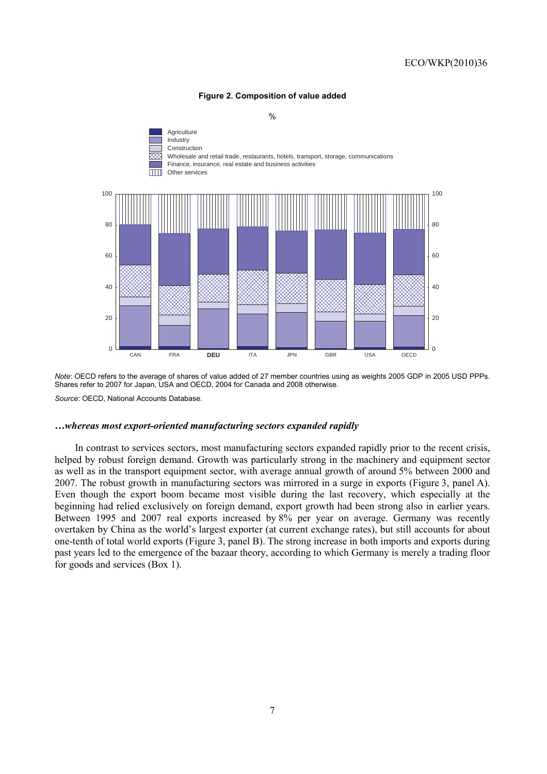#### **Figure 2. Composition of value added**



*Note*: OECD refers to the average of shares of value added of 27 member countries using as weights 2005 GDP in 2005 USD PPPs. Shares refer to 2007 for Japan, USA and OECD, 2004 for Canada and 2008 otherwise. *Source*: OECD, National Accounts Database.

# *…whereas most export-oriented manufacturing sectors expanded rapidly*

In contrast to services sectors, most manufacturing sectors expanded rapidly prior to the recent crisis, helped by robust foreign demand. Growth was particularly strong in the machinery and equipment sector as well as in the transport equipment sector, with average annual growth of around 5% between 2000 and 2007. The robust growth in manufacturing sectors was mirrored in a surge in exports (Figure 3, panel A). Even though the export boom became most visible during the last recovery, which especially at the beginning had relied exclusively on foreign demand, export growth had been strong also in earlier years. Between 1995 and 2007 real exports increased by 8% per year on average. Germany was recently overtaken by China as the world's largest exporter (at current exchange rates), but still accounts for about one-tenth of total world exports (Figure 3, panel B). The strong increase in both imports and exports during past years led to the emergence of the bazaar theory, according to which Germany is merely a trading floor for goods and services (Box 1).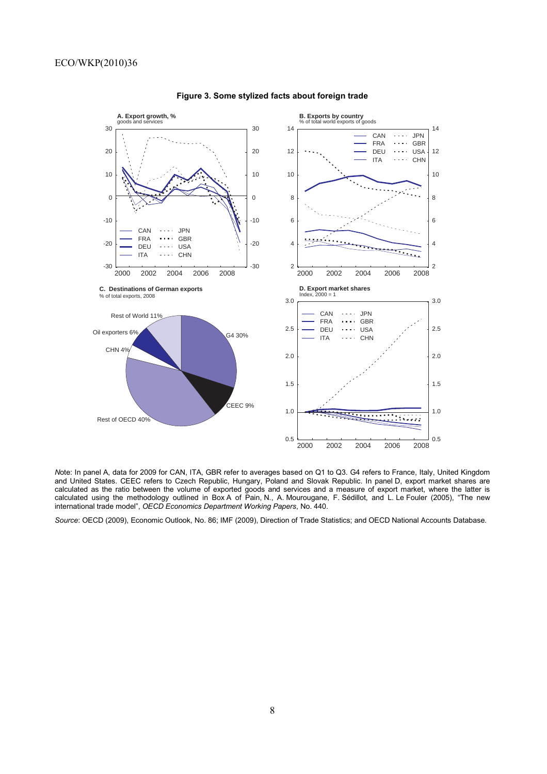

#### **Figure 3. Some stylized facts about foreign trade**

*N*ote: In panel A, data for 2009 for CAN, ITA, GBR refer to averages based on Q1 to Q3. G4 refers to France, Italy, United Kingdom and United States. CEEC refers to Czech Republic, Hungary, Poland and Slovak Republic. In panel D, export market shares are calculated as the ratio between the volume of exported goods and services and a measure of export market, where the latter is calculated using the methodology outlined in Box A of Pain, N., A. Mourougane, F. Sédillot, and L. Le Fouler (2005), "The new international trade model", *OECD Economics Department Working Papers*, No. 440.

*Source*: OECD (2009), Economic Outlook, No. 86; IMF (2009), Direction of Trade Statistics; and OECD National Accounts Database.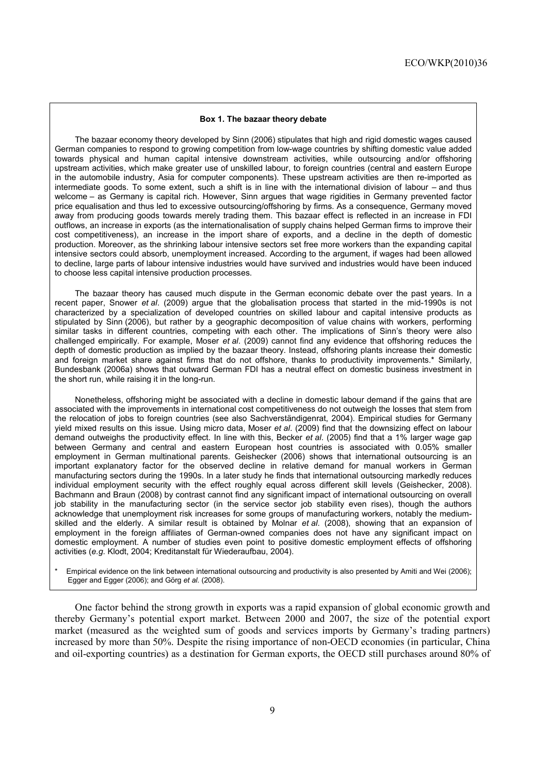#### **Box 1. The bazaar theory debate**

The bazaar economy theory developed by Sinn (2006) stipulates that high and rigid domestic wages caused German companies to respond to growing competition from low-wage countries by shifting domestic value added towards physical and human capital intensive downstream activities, while outsourcing and/or offshoring upstream activities, which make greater use of unskilled labour, to foreign countries (central and eastern Europe in the automobile industry, Asia for computer components). These upstream activities are then re-imported as intermediate goods. To some extent, such a shift is in line with the international division of labour – and thus welcome – as Germany is capital rich. However, Sinn argues that wage rigidities in Germany prevented factor price equalisation and thus led to excessive outsourcing/offshoring by firms. As a consequence, Germany moved away from producing goods towards merely trading them. This bazaar effect is reflected in an increase in FDI outflows, an increase in exports (as the internationalisation of supply chains helped German firms to improve their cost competitiveness), an increase in the import share of exports, and a decline in the depth of domestic production. Moreover, as the shrinking labour intensive sectors set free more workers than the expanding capital intensive sectors could absorb, unemployment increased. According to the argument, if wages had been allowed to decline, large parts of labour intensive industries would have survived and industries would have been induced to choose less capital intensive production processes.

The bazaar theory has caused much dispute in the German economic debate over the past years. In a recent paper, Snower *et al*. (2009) argue that the globalisation process that started in the mid-1990s is not characterized by a specialization of developed countries on skilled labour and capital intensive products as stipulated by Sinn (2006), but rather by a geographic decomposition of value chains with workers, performing similar tasks in different countries, competing with each other. The implications of Sinn's theory were also challenged empirically. For example, Moser *et al*. (2009) cannot find any evidence that offshoring reduces the depth of domestic production as implied by the bazaar theory. Instead, offshoring plants increase their domestic and foreign market share against firms that do not offshore, thanks to productivity improvements.\* Similarly, Bundesbank (2006a) shows that outward German FDI has a neutral effect on domestic business investment in the short run, while raising it in the long-run.

Nonetheless, offshoring might be associated with a decline in domestic labour demand if the gains that are associated with the improvements in international cost competitiveness do not outweigh the losses that stem from the relocation of jobs to foreign countries (see also Sachverständigenrat, 2004). Empirical studies for Germany yield mixed results on this issue. Using micro data, Moser *et al*. (2009) find that the downsizing effect on labour demand outweighs the productivity effect. In line with this, Becker *et al*. (2005) find that a 1% larger wage gap between Germany and central and eastern European host countries is associated with 0.05% smaller employment in German multinational parents. Geishecker (2006) shows that international outsourcing is an important explanatory factor for the observed decline in relative demand for manual workers in German manufacturing sectors during the 1990s. In a later study he finds that international outsourcing markedly reduces individual employment security with the effect roughly equal across different skill levels (Geishecker, 2008). Bachmann and Braun (2008) by contrast cannot find any significant impact of international outsourcing on overall job stability in the manufacturing sector (in the service sector job stability even rises), though the authors acknowledge that unemployment risk increases for some groups of manufacturing workers, notably the mediumskilled and the elderly. A similar result is obtained by Molnar *et al*. (2008), showing that an expansion of employment in the foreign affiliates of German-owned companies does not have any significant impact on domestic employment. A number of studies even point to positive domestic employment effects of offshoring activities (*e.g.* Klodt, 2004; Kreditanstalt für Wiederaufbau, 2004).

Empirical evidence on the link between international outsourcing and productivity is also presented by Amiti and Wei (2006); Egger and Egger (2006); and Görg *et al*. (2008).

One factor behind the strong growth in exports was a rapid expansion of global economic growth and thereby Germany's potential export market. Between 2000 and 2007, the size of the potential export market (measured as the weighted sum of goods and services imports by Germany's trading partners) increased by more than 50%. Despite the rising importance of non-OECD economies (in particular, China and oil-exporting countries) as a destination for German exports, the OECD still purchases around 80% of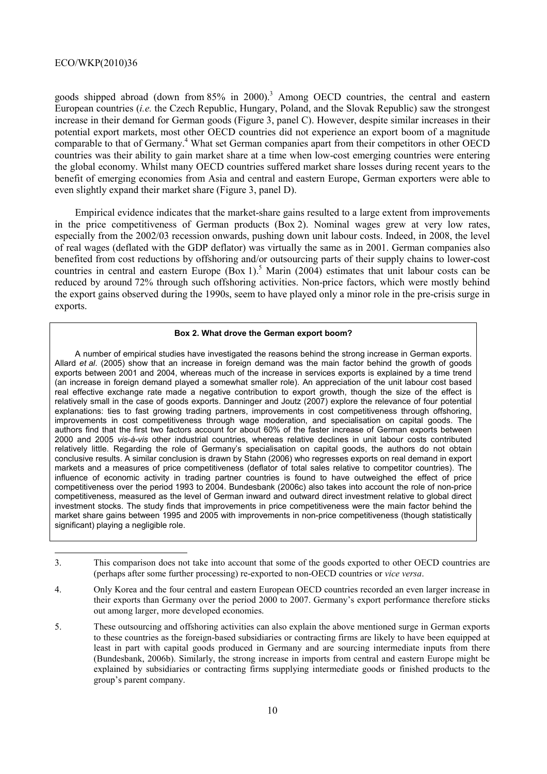$\overline{a}$ 

goods shipped abroad (down from 85% in 2000).<sup>3</sup> Among OECD countries, the central and eastern European countries (*i.e.* the Czech Republic, Hungary, Poland, and the Slovak Republic) saw the strongest increase in their demand for German goods (Figure 3, panel C). However, despite similar increases in their potential export markets, most other OECD countries did not experience an export boom of a magnitude comparable to that of Germany.<sup>4</sup> What set German companies apart from their competitors in other OECD countries was their ability to gain market share at a time when low-cost emerging countries were entering the global economy. Whilst many OECD countries suffered market share losses during recent years to the benefit of emerging economies from Asia and central and eastern Europe, German exporters were able to even slightly expand their market share (Figure 3, panel D).

Empirical evidence indicates that the market-share gains resulted to a large extent from improvements in the price competitiveness of German products (Box 2). Nominal wages grew at very low rates, especially from the 2002/03 recession onwards, pushing down unit labour costs. Indeed, in 2008, the level of real wages (deflated with the GDP deflator) was virtually the same as in 2001. German companies also benefited from cost reductions by offshoring and/or outsourcing parts of their supply chains to lower-cost countries in central and eastern Europe  $(Box 1)$ .<sup>5</sup> Marin (2004) estimates that unit labour costs can be reduced by around 72% through such offshoring activities. Non-price factors, which were mostly behind the export gains observed during the 1990s, seem to have played only a minor role in the pre-crisis surge in exports.

#### **Box 2. What drove the German export boom?**

A number of empirical studies have investigated the reasons behind the strong increase in German exports. Allard *et al*. (2005) show that an increase in foreign demand was the main factor behind the growth of goods exports between 2001 and 2004, whereas much of the increase in services exports is explained by a time trend (an increase in foreign demand played a somewhat smaller role). An appreciation of the unit labour cost based real effective exchange rate made a negative contribution to export growth, though the size of the effect is relatively small in the case of goods exports. Danninger and Joutz (2007) explore the relevance of four potential explanations: ties to fast growing trading partners, improvements in cost competitiveness through offshoring, improvements in cost competitiveness through wage moderation, and specialisation on capital goods. The authors find that the first two factors account for about 60% of the faster increase of German exports between 2000 and 2005 *vis-à-vis* other industrial countries, whereas relative declines in unit labour costs contributed relatively little. Regarding the role of Germany's specialisation on capital goods, the authors do not obtain conclusive results. A similar conclusion is drawn by Stahn (2006) who regresses exports on real demand in export markets and a measures of price competitiveness (deflator of total sales relative to competitor countries). The influence of economic activity in trading partner countries is found to have outweighed the effect of price competitiveness over the period 1993 to 2004. Bundesbank (2006c) also takes into account the role of non-price competitiveness, measured as the level of German inward and outward direct investment relative to global direct investment stocks. The study finds that improvements in price competitiveness were the main factor behind the market share gains between 1995 and 2005 with improvements in non-price competitiveness (though statistically significant) playing a negligible role.

- 3. This comparison does not take into account that some of the goods exported to other OECD countries are (perhaps after some further processing) re-exported to non-OECD countries or *vice versa*.
- 4. Only Korea and the four central and eastern European OECD countries recorded an even larger increase in their exports than Germany over the period 2000 to 2007. Germany's export performance therefore sticks out among larger, more developed economies.
- 5. These outsourcing and offshoring activities can also explain the above mentioned surge in German exports to these countries as the foreign-based subsidiaries or contracting firms are likely to have been equipped at least in part with capital goods produced in Germany and are sourcing intermediate inputs from there (Bundesbank, 2006b). Similarly, the strong increase in imports from central and eastern Europe might be explained by subsidiaries or contracting firms supplying intermediate goods or finished products to the group's parent company.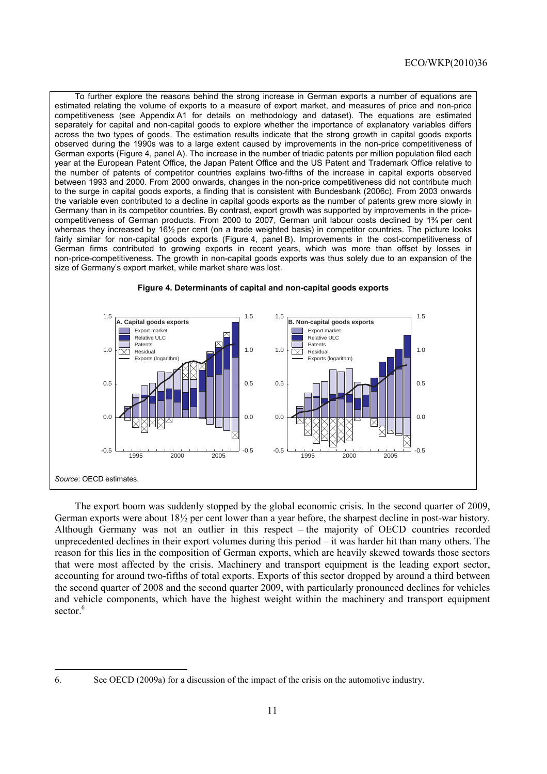To further explore the reasons behind the strong increase in German exports a number of equations are estimated relating the volume of exports to a measure of export market, and measures of price and non-price competitiveness (see Appendix A1 for details on methodology and dataset). The equations are estimated separately for capital and non-capital goods to explore whether the importance of explanatory variables differs across the two types of goods. The estimation results indicate that the strong growth in capital goods exports observed during the 1990s was to a large extent caused by improvements in the non-price competitiveness of German exports (Figure 4, panel A). The increase in the number of triadic patents per million population filed each year at the European Patent Office, the Japan Patent Office and the US Patent and Trademark Office relative to the number of patents of competitor countries explains two-fifths of the increase in capital exports observed between 1993 and 2000. From 2000 onwards, changes in the non-price competitiveness did not contribute much to the surge in capital goods exports, a finding that is consistent with Bundesbank (2006c). From 2003 onwards the variable even contributed to a decline in capital goods exports as the number of patents grew more slowly in Germany than in its competitor countries. By contrast, export growth was supported by improvements in the pricecompetitiveness of German products. From 2000 to 2007, German unit labour costs declined by 1¾ per cent whereas they increased by 16½ per cent (on a trade weighted basis) in competitor countries. The picture looks fairly similar for non-capital goods exports (Figure 4, panel B). Improvements in the cost-competitiveness of German firms contributed to growing exports in recent years, which was more than offset by losses in non-price-competitiveness. The growth in non-capital goods exports was thus solely due to an expansion of the size of Germany's export market, while market share was lost.



The export boom was suddenly stopped by the global economic crisis. In the second quarter of 2009, German exports were about 18½ per cent lower than a year before, the sharpest decline in post-war history. Although Germany was not an outlier in this respect – the majority of OECD countries recorded unprecedented declines in their export volumes during this period – it was harder hit than many others. The reason for this lies in the composition of German exports, which are heavily skewed towards those sectors that were most affected by the crisis. Machinery and transport equipment is the leading export sector, accounting for around two-fifths of total exports. Exports of this sector dropped by around a third between the second quarter of 2008 and the second quarter 2009, with particularly pronounced declines for vehicles and vehicle components, which have the highest weight within the machinery and transport equipment sector.<sup>6</sup>

<sup>6.</sup> See OECD (2009a) for a discussion of the impact of the crisis on the automotive industry.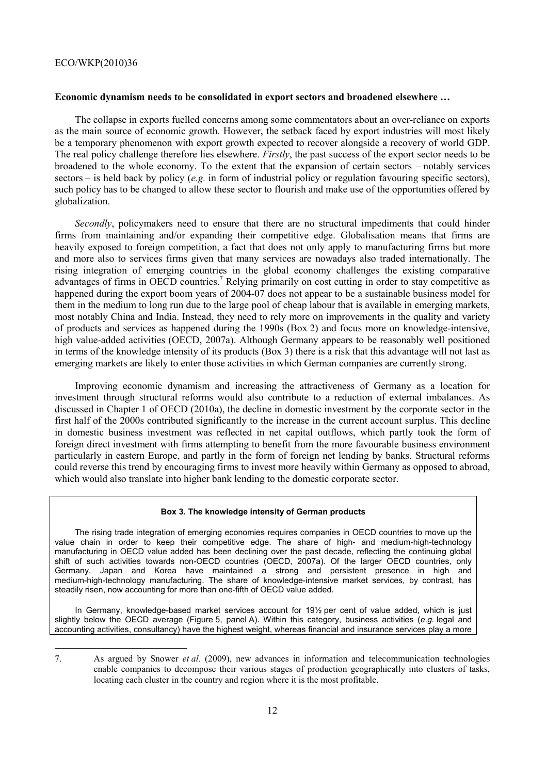#### **Economic dynamism needs to be consolidated in export sectors and broadened elsewhere …**

The collapse in exports fuelled concerns among some commentators about an over-reliance on exports as the main source of economic growth. However, the setback faced by export industries will most likely be a temporary phenomenon with export growth expected to recover alongside a recovery of world GDP. The real policy challenge therefore lies elsewhere. *Firstly*, the past success of the export sector needs to be broadened to the whole economy. To the extent that the expansion of certain sectors – notably services sectors – is held back by policy (*e.g.* in form of industrial policy or regulation favouring specific sectors), such policy has to be changed to allow these sector to flourish and make use of the opportunities offered by globalization.

*Secondly*, policymakers need to ensure that there are no structural impediments that could hinder firms from maintaining and/or expanding their competitive edge. Globalisation means that firms are heavily exposed to foreign competition, a fact that does not only apply to manufacturing firms but more and more also to services firms given that many services are nowadays also traded internationally. The rising integration of emerging countries in the global economy challenges the existing comparative advantages of firms in OECD countries.<sup>7</sup> Relying primarily on cost cutting in order to stay competitive as happened during the export boom years of 2004-07 does not appear to be a sustainable business model for them in the medium to long run due to the large pool of cheap labour that is available in emerging markets, most notably China and India. Instead, they need to rely more on improvements in the quality and variety of products and services as happened during the 1990s (Box 2) and focus more on knowledge-intensive, high value-added activities (OECD, 2007a). Although Germany appears to be reasonably well positioned in terms of the knowledge intensity of its products (Box 3) there is a risk that this advantage will not last as emerging markets are likely to enter those activities in which German companies are currently strong.

Improving economic dynamism and increasing the attractiveness of Germany as a location for investment through structural reforms would also contribute to a reduction of external imbalances. As discussed in Chapter 1 of OECD (2010a), the decline in domestic investment by the corporate sector in the first half of the 2000s contributed significantly to the increase in the current account surplus. This decline in domestic business investment was reflected in net capital outflows, which partly took the form of foreign direct investment with firms attempting to benefit from the more favourable business environment particularly in eastern Europe, and partly in the form of foreign net lending by banks. Structural reforms could reverse this trend by encouraging firms to invest more heavily within Germany as opposed to abroad, which would also translate into higher bank lending to the domestic corporate sector.

#### **Box 3. The knowledge intensity of German products**

The rising trade integration of emerging economies requires companies in OECD countries to move up the value chain in order to keep their competitive edge. The share of high- and medium-high-technology manufacturing in OECD value added has been declining over the past decade, reflecting the continuing global shift of such activities towards non-OECD countries (OECD, 2007a). Of the larger OECD countries, only Germany, Japan and Korea have maintained a strong and persistent presence in high and medium-high-technology manufacturing. The share of knowledge-intensive market services, by contrast, has steadily risen, now accounting for more than one-fifth of OECD value added.

In Germany, knowledge-based market services account for 19½ per cent of value added, which is just slightly below the OECD average (Figure 5, panel A). Within this category, business activities (*e.g.* legal and accounting activities, consultancy) have the highest weight, whereas financial and insurance services play a more

 $\overline{a}$ 

<sup>7.</sup> As argued by Snower *et al.* (2009), new advances in information and telecommunication technologies enable companies to decompose their various stages of production geographically into clusters of tasks, locating each cluster in the country and region where it is the most profitable.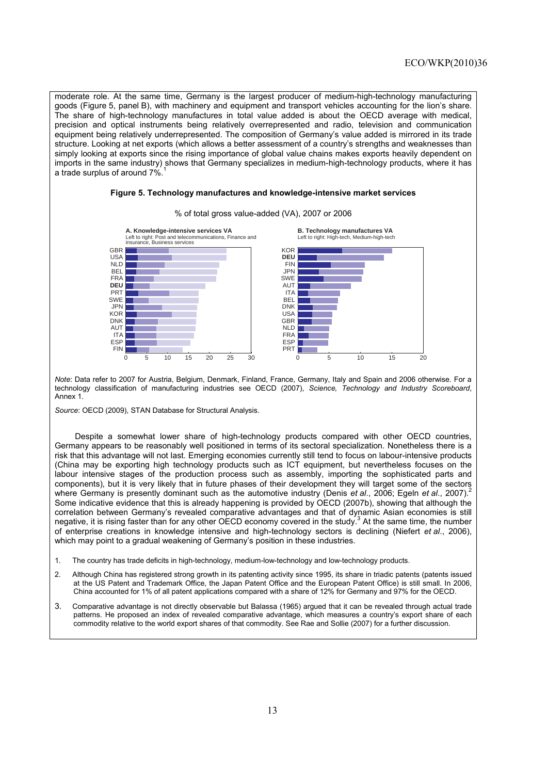moderate role. At the same time, Germany is the largest producer of medium-high-technology manufacturing goods (Figure 5, panel B), with machinery and equipment and transport vehicles accounting for the lion's share. The share of high-technology manufactures in total value added is about the OECD average with medical, precision and optical instruments being relatively overrepresented and radio, television and communication equipment being relatively underrepresented. The composition of Germany's value added is mirrored in its trade structure. Looking at net exports (which allows a better assessment of a country's strengths and weaknesses than simply looking at exports since the rising importance of global value chains makes exports heavily dependent on imports in the same industry) shows that Germany specializes in medium-high-technology products, where it has a trade surplus of around 7%.

#### **Figure 5. Technology manufactures and knowledge-intensive market services**



% of total gross value-added (VA), 2007 or 2006

*Note*: Data refer to 2007 for Austria, Belgium, Denmark, Finland, France, Germany, Italy and Spain and 2006 otherwise. For a technology classification of manufacturing industries see OECD (2007), *Science, Technology and Industry Scoreboard*, Annex 1.

*Source*: OECD (2009), STAN Database for Structural Analysis.

Despite a somewhat lower share of high-technology products compared with other OECD countries, Germany appears to be reasonably well positioned in terms of its sectoral specialization. Nonetheless there is a risk that this advantage will not last. Emerging economies currently still tend to focus on labour-intensive products (China may be exporting high technology products such as ICT equipment, but nevertheless focuses on the labour intensive stages of the production process such as assembly, importing the sophisticated parts and components), but it is very likely that in future phases of their development they will target some of the sectors where Germany is presently dominant such as the automotive industry (Denis *et al.*, 2006; Egeln *et al.*, 2007).<sup>2</sup> Some indicative evidence that this is already happening is provided by OECD (2007b), showing that although the correlation between Germany's revealed comparative advantages and that of dynamic Asian economies is still negative, it is rising faster than for any other OECD economy covered in the study.<sup>3</sup> At the same time, the number of enterprise creations in knowledge intensive and high-technology sectors is declining (Niefert *et al*., 2006), which may point to a gradual weakening of Germany's position in these industries.

- 1. The country has trade deficits in high-technology, medium-low-technology and low-technology products.
- 2. Although China has registered strong growth in its patenting activity since 1995, its share in triadic patents (patents issued at the US Patent and Trademark Office, the Japan Patent Office and the European Patent Office) is still small. In 2006, China accounted for 1% of all patent applications compared with a share of 12% for Germany and 97% for the OECD.
- 3. Comparative advantage is not directly observable but Balassa (1965) argued that it can be revealed through actual trade patterns. He proposed an index of revealed comparative advantage, which measures a country's export share of each commodity relative to the world export shares of that commodity. See Rae and Sollie (2007) for a further discussion.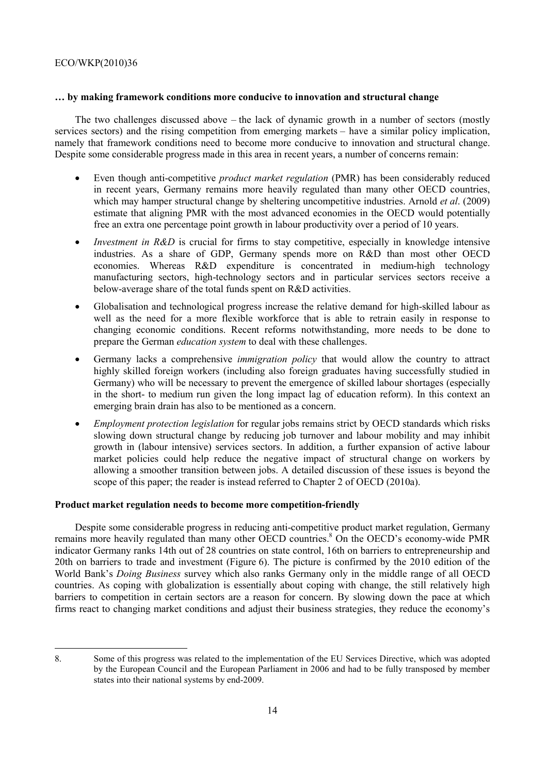# **… by making framework conditions more conducive to innovation and structural change**

The two challenges discussed above – the lack of dynamic growth in a number of sectors (mostly services sectors) and the rising competition from emerging markets – have a similar policy implication, namely that framework conditions need to become more conducive to innovation and structural change. Despite some considerable progress made in this area in recent years, a number of concerns remain:

- Even though anti-competitive *product market regulation* (PMR) has been considerably reduced in recent years, Germany remains more heavily regulated than many other OECD countries, which may hamper structural change by sheltering uncompetitive industries. Arnold *et al*. (2009) estimate that aligning PMR with the most advanced economies in the OECD would potentially free an extra one percentage point growth in labour productivity over a period of 10 years.
- *Investment in R&D* is crucial for firms to stay competitive, especially in knowledge intensive industries. As a share of GDP, Germany spends more on R&D than most other OECD economies. Whereas R&D expenditure is concentrated in medium-high technology manufacturing sectors, high-technology sectors and in particular services sectors receive a below-average share of the total funds spent on R&D activities.
- Globalisation and technological progress increase the relative demand for high-skilled labour as well as the need for a more flexible workforce that is able to retrain easily in response to changing economic conditions. Recent reforms notwithstanding, more needs to be done to prepare the German *education system* to deal with these challenges.
- Germany lacks a comprehensive *immigration policy* that would allow the country to attract highly skilled foreign workers (including also foreign graduates having successfully studied in Germany) who will be necessary to prevent the emergence of skilled labour shortages (especially in the short- to medium run given the long impact lag of education reform). In this context an emerging brain drain has also to be mentioned as a concern.
- *Employment protection legislation* for regular jobs remains strict by OECD standards which risks slowing down structural change by reducing job turnover and labour mobility and may inhibit growth in (labour intensive) services sectors. In addition, a further expansion of active labour market policies could help reduce the negative impact of structural change on workers by allowing a smoother transition between jobs. A detailed discussion of these issues is beyond the scope of this paper; the reader is instead referred to Chapter 2 of OECD (2010a).

# **Product market regulation needs to become more competition-friendly**

Despite some considerable progress in reducing anti-competitive product market regulation, Germany remains more heavily regulated than many other OECD countries.<sup>8</sup> On the OECD's economy-wide PMR indicator Germany ranks 14th out of 28 countries on state control, 16th on barriers to entrepreneurship and 20th on barriers to trade and investment (Figure 6). The picture is confirmed by the 2010 edition of the World Bank's *Doing Business* survey which also ranks Germany only in the middle range of all OECD countries. As coping with globalization is essentially about coping with change, the still relatively high barriers to competition in certain sectors are a reason for concern. By slowing down the pace at which firms react to changing market conditions and adjust their business strategies, they reduce the economy's

 $\overline{a}$ 

<sup>8.</sup> Some of this progress was related to the implementation of the EU Services Directive, which was adopted by the European Council and the European Parliament in 2006 and had to be fully transposed by member states into their national systems by end-2009.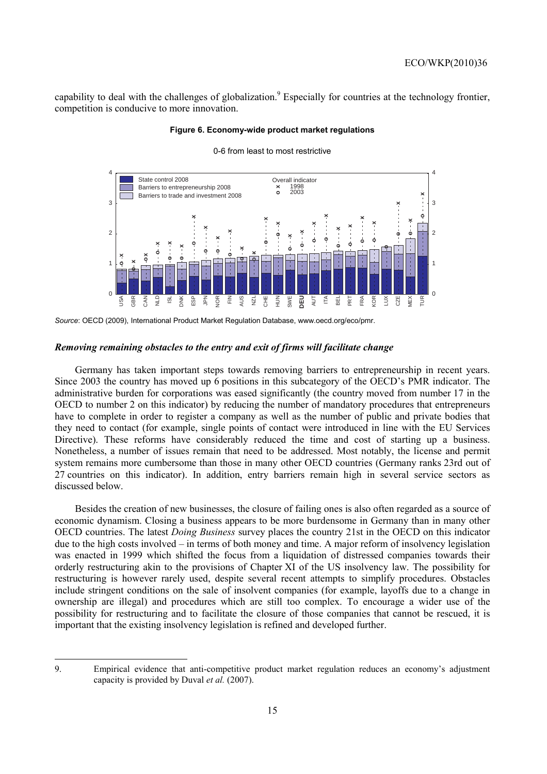capability to deal with the challenges of globalization.<sup>9</sup> Especially for countries at the technology frontier, competition is conducive to more innovation.

#### **Figure 6. Economy-wide product market regulations**



0-6 from least to most restrictive

#### *Removing remaining obstacles to the entry and exit of firms will facilitate change*

Germany has taken important steps towards removing barriers to entrepreneurship in recent years. Since 2003 the country has moved up 6 positions in this subcategory of the OECD's PMR indicator. The administrative burden for corporations was eased significantly (the country moved from number 17 in the OECD to number 2 on this indicator) by reducing the number of mandatory procedures that entrepreneurs have to complete in order to register a company as well as the number of public and private bodies that they need to contact (for example, single points of contact were introduced in line with the EU Services Directive). These reforms have considerably reduced the time and cost of starting up a business. Nonetheless, a number of issues remain that need to be addressed. Most notably, the license and permit system remains more cumbersome than those in many other OECD countries (Germany ranks 23rd out of 27 countries on this indicator). In addition, entry barriers remain high in several service sectors as discussed below.

Besides the creation of new businesses, the closure of failing ones is also often regarded as a source of economic dynamism. Closing a business appears to be more burdensome in Germany than in many other OECD countries. The latest *Doing Business* survey places the country 21st in the OECD on this indicator due to the high costs involved – in terms of both money and time. A major reform of insolvency legislation was enacted in 1999 which shifted the focus from a liquidation of distressed companies towards their orderly restructuring akin to the provisions of Chapter XI of the US insolvency law. The possibility for restructuring is however rarely used, despite several recent attempts to simplify procedures. Obstacles include stringent conditions on the sale of insolvent companies (for example, layoffs due to a change in ownership are illegal) and procedures which are still too complex. To encourage a wider use of the possibility for restructuring and to facilitate the closure of those companies that cannot be rescued, it is important that the existing insolvency legislation is refined and developed further.

 $\overline{a}$ 

*Source*: OECD (2009), International Product Market Regulation Database, www.oecd.org/eco/pmr.

<sup>9.</sup> Empirical evidence that anti-competitive product market regulation reduces an economy's adjustment capacity is provided by Duval *et al.* (2007).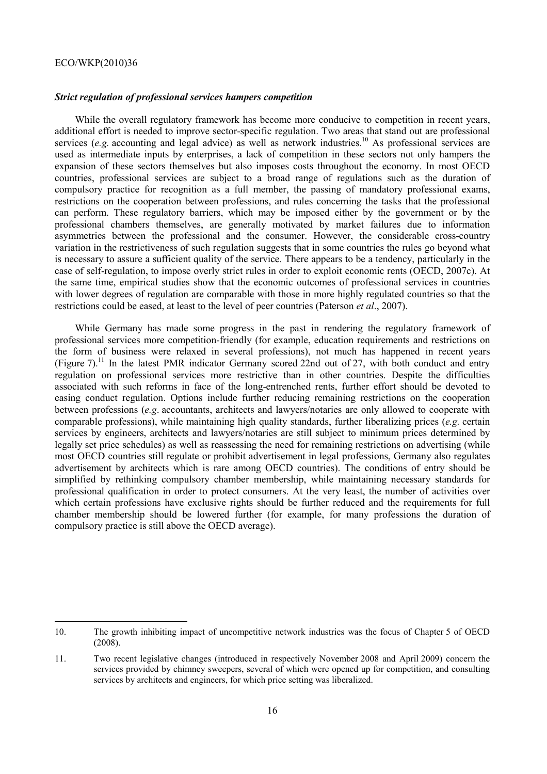# *Strict regulation of professional services hampers competition*

While the overall regulatory framework has become more conducive to competition in recent years. additional effort is needed to improve sector-specific regulation. Two areas that stand out are professional services (*e.g.* accounting and legal advice) as well as network industries.<sup>10</sup> As professional services are used as intermediate inputs by enterprises, a lack of competition in these sectors not only hampers the expansion of these sectors themselves but also imposes costs throughout the economy. In most OECD countries, professional services are subject to a broad range of regulations such as the duration of compulsory practice for recognition as a full member, the passing of mandatory professional exams, restrictions on the cooperation between professions, and rules concerning the tasks that the professional can perform. These regulatory barriers, which may be imposed either by the government or by the professional chambers themselves, are generally motivated by market failures due to information asymmetries between the professional and the consumer. However, the considerable cross-country variation in the restrictiveness of such regulation suggests that in some countries the rules go beyond what is necessary to assure a sufficient quality of the service. There appears to be a tendency, particularly in the case of self-regulation, to impose overly strict rules in order to exploit economic rents (OECD, 2007c). At the same time, empirical studies show that the economic outcomes of professional services in countries with lower degrees of regulation are comparable with those in more highly regulated countries so that the restrictions could be eased, at least to the level of peer countries (Paterson *et al*., 2007).

While Germany has made some progress in the past in rendering the regulatory framework of professional services more competition-friendly (for example, education requirements and restrictions on the form of business were relaxed in several professions), not much has happened in recent years (Figure 7).<sup>11</sup> In the latest PMR indicator Germany scored 22nd out of 27, with both conduct and entry regulation on professional services more restrictive than in other countries. Despite the difficulties associated with such reforms in face of the long-entrenched rents, further effort should be devoted to easing conduct regulation. Options include further reducing remaining restrictions on the cooperation between professions (*e.g*. accountants, architects and lawyers/notaries are only allowed to cooperate with comparable professions), while maintaining high quality standards, further liberalizing prices (*e.g.* certain services by engineers, architects and lawyers/notaries are still subject to minimum prices determined by legally set price schedules) as well as reassessing the need for remaining restrictions on advertising (while most OECD countries still regulate or prohibit advertisement in legal professions, Germany also regulates advertisement by architects which is rare among OECD countries). The conditions of entry should be simplified by rethinking compulsory chamber membership, while maintaining necessary standards for professional qualification in order to protect consumers. At the very least, the number of activities over which certain professions have exclusive rights should be further reduced and the requirements for full chamber membership should be lowered further (for example, for many professions the duration of compulsory practice is still above the OECD average).

<sup>10.</sup> The growth inhibiting impact of uncompetitive network industries was the focus of Chapter 5 of OECD (2008).

<sup>11.</sup> Two recent legislative changes (introduced in respectively November 2008 and April 2009) concern the services provided by chimney sweepers, several of which were opened up for competition, and consulting services by architects and engineers, for which price setting was liberalized.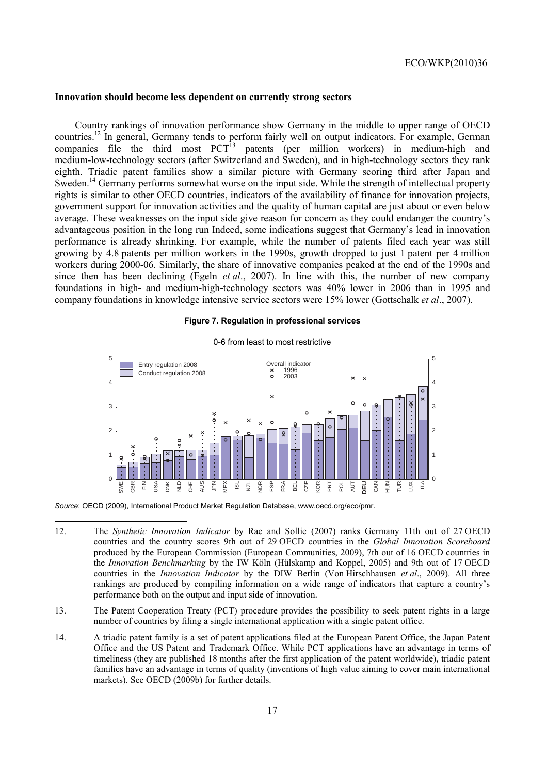### **Innovation should become less dependent on currently strong sectors**

Country rankings of innovation performance show Germany in the middle to upper range of OECD countries.12 In general, Germany tends to perform fairly well on output indicators. For example, German companies file the third most  $PCT<sup>13</sup>$  patents (per million workers) in medium-high and medium-low-technology sectors (after Switzerland and Sweden), and in high-technology sectors they rank eighth. Triadic patent families show a similar picture with Germany scoring third after Japan and Sweden.<sup>14</sup> Germany performs somewhat worse on the input side. While the strength of intellectual property rights is similar to other OECD countries, indicators of the availability of finance for innovation projects, government support for innovation activities and the quality of human capital are just about or even below average. These weaknesses on the input side give reason for concern as they could endanger the country's advantageous position in the long run Indeed, some indications suggest that Germany's lead in innovation performance is already shrinking. For example, while the number of patents filed each year was still growing by 4.8 patents per million workers in the 1990s, growth dropped to just 1 patent per 4 million workers during 2000-06. Similarly, the share of innovative companies peaked at the end of the 1990s and since then has been declining (Egeln *et al*., 2007). In line with this, the number of new company foundations in high- and medium-high-technology sectors was 40% lower in 2006 than in 1995 and company foundations in knowledge intensive service sectors were 15% lower (Gottschalk *et al*., 2007).

#### **Figure 7. Regulation in professional services**



#### 0-6 from least to most restrictive

*Source*: OECD (2009), International Product Market Regulation Database, www.oecd.org/eco/pmr.

- 12. The *Synthetic Innovation Indicator* by Rae and Sollie (2007) ranks Germany 11th out of 27 OECD countries and the country scores 9th out of 29 OECD countries in the *Global Innovation Scoreboard* produced by the European Commission (European Communities, 2009), 7th out of 16 OECD countries in the *Innovation Benchmarking* by the IW Köln (Hülskamp and Koppel, 2005) and 9th out of 17 OECD countries in the *Innovation Indicator* by the DIW Berlin (Von Hirschhausen *et al*., 2009). All three rankings are produced by compiling information on a wide range of indicators that capture a country's performance both on the output and input side of innovation.
- 13. The Patent Cooperation Treaty (PCT) procedure provides the possibility to seek patent rights in a large number of countries by filing a single international application with a single patent office.
- 14. A triadic patent family is a set of patent applications filed at the European Patent Office, the Japan Patent Office and the US Patent and Trademark Office. While PCT applications have an advantage in terms of timeliness (they are published 18 months after the first application of the patent worldwide), triadic patent families have an advantage in terms of quality (inventions of high value aiming to cover main international markets). See OECD (2009b) for further details.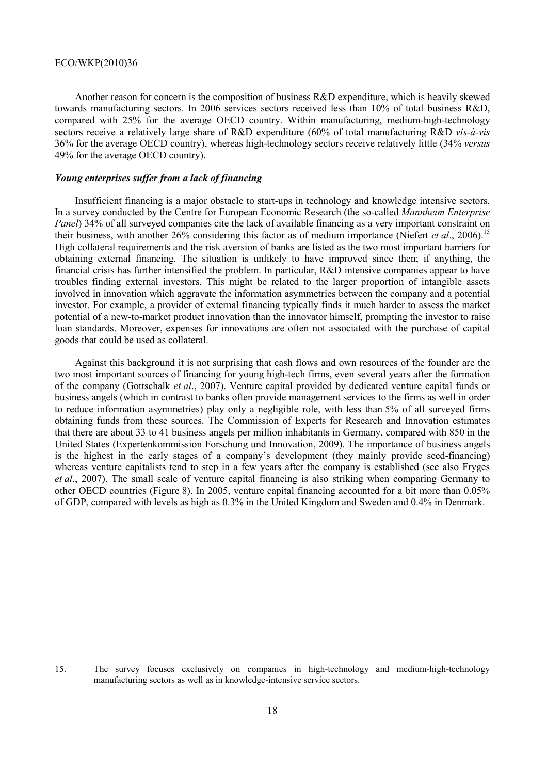$\overline{a}$ 

Another reason for concern is the composition of business R&D expenditure, which is heavily skewed towards manufacturing sectors. In 2006 services sectors received less than 10% of total business R&D, compared with 25% for the average OECD country. Within manufacturing, medium-high-technology sectors receive a relatively large share of R&D expenditure (60% of total manufacturing R&D *vis-à-vis* 36% for the average OECD country), whereas high-technology sectors receive relatively little (34% *versus* 49% for the average OECD country).

# *Young enterprises suffer from a lack of financing*

Insufficient financing is a major obstacle to start-ups in technology and knowledge intensive sectors. In a survey conducted by the Centre for European Economic Research (the so-called *Mannheim Enterprise Panel*) 34% of all surveyed companies cite the lack of available financing as a very important constraint on their business, with another 26% considering this factor as of medium importance (Niefert *et al*., 2006).15 High collateral requirements and the risk aversion of banks are listed as the two most important barriers for obtaining external financing. The situation is unlikely to have improved since then; if anything, the financial crisis has further intensified the problem. In particular, R&D intensive companies appear to have troubles finding external investors. This might be related to the larger proportion of intangible assets involved in innovation which aggravate the information asymmetries between the company and a potential investor. For example, a provider of external financing typically finds it much harder to assess the market potential of a new-to-market product innovation than the innovator himself, prompting the investor to raise loan standards. Moreover, expenses for innovations are often not associated with the purchase of capital goods that could be used as collateral.

Against this background it is not surprising that cash flows and own resources of the founder are the two most important sources of financing for young high-tech firms, even several years after the formation of the company (Gottschalk *et al*., 2007). Venture capital provided by dedicated venture capital funds or business angels (which in contrast to banks often provide management services to the firms as well in order to reduce information asymmetries) play only a negligible role, with less than 5% of all surveyed firms obtaining funds from these sources. The Commission of Experts for Research and Innovation estimates that there are about 33 to 41 business angels per million inhabitants in Germany, compared with 850 in the United States (Expertenkommission Forschung und Innovation, 2009). The importance of business angels is the highest in the early stages of a company's development (they mainly provide seed-financing) whereas venture capitalists tend to step in a few years after the company is established (see also Fryges *et al*., 2007). The small scale of venture capital financing is also striking when comparing Germany to other OECD countries (Figure 8). In 2005, venture capital financing accounted for a bit more than 0.05% of GDP, compared with levels as high as 0.3% in the United Kingdom and Sweden and 0.4% in Denmark.

<sup>15.</sup> The survey focuses exclusively on companies in high-technology and medium-high-technology manufacturing sectors as well as in knowledge-intensive service sectors.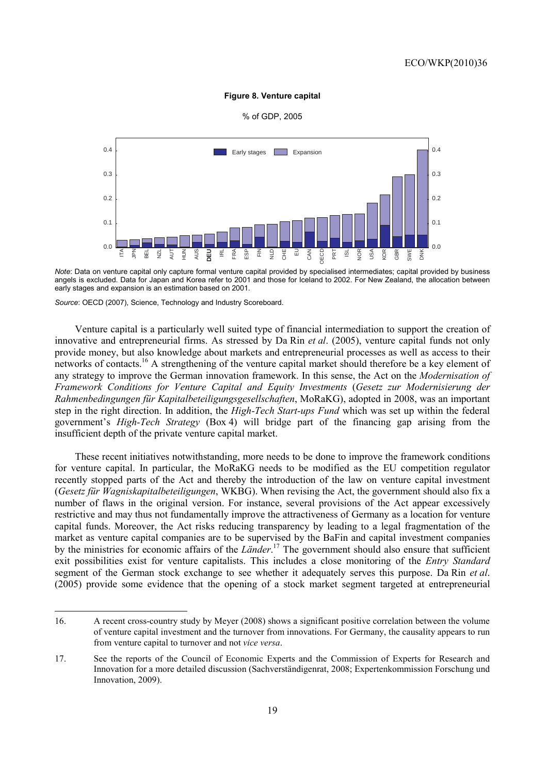#### **Figure 8. Venture capital**

% of GDP, 2005



*Note*: Data on venture capital only capture formal venture capital provided by specialised intermediates; capital provided by business angels is excluded. Data for Japan and Korea refer to 2001 and those for Iceland to 2002. For New Zealand, the allocation between early stages and expansion is an estimation based on 2001.

*Source*: OECD (2007), Science, Technology and Industry Scoreboard.

 $\overline{a}$ 

Venture capital is a particularly well suited type of financial intermediation to support the creation of innovative and entrepreneurial firms. As stressed by Da Rin *et al*. (2005), venture capital funds not only provide money, but also knowledge about markets and entrepreneurial processes as well as access to their networks of contacts.16 A strengthening of the venture capital market should therefore be a key element of any strategy to improve the German innovation framework. In this sense, the Act on the *Modernisation of Framework Conditions for Venture Capital and Equity Investments* (*Gesetz zur Modernisierung der Rahmenbedingungen für Kapitalbeteiligungsgesellschaften*, MoRaKG), adopted in 2008, was an important step in the right direction. In addition, the *High-Tech Start-ups Fund* which was set up within the federal government's *High-Tech Strategy* (Box 4) will bridge part of the financing gap arising from the insufficient depth of the private venture capital market.

These recent initiatives notwithstanding, more needs to be done to improve the framework conditions for venture capital. In particular, the MoRaKG needs to be modified as the EU competition regulator recently stopped parts of the Act and thereby the introduction of the law on venture capital investment (*Gesetz für Wagniskapitalbeteiligungen*, WKBG). When revising the Act, the government should also fix a number of flaws in the original version. For instance, several provisions of the Act appear excessively restrictive and may thus not fundamentally improve the attractiveness of Germany as a location for venture capital funds. Moreover, the Act risks reducing transparency by leading to a legal fragmentation of the market as venture capital companies are to be supervised by the BaFin and capital investment companies by the ministries for economic affairs of the *Länder*. 17 The government should also ensure that sufficient exit possibilities exist for venture capitalists. This includes a close monitoring of the *Entry Standard* segment of the German stock exchange to see whether it adequately serves this purpose. Da Rin *et al*. (2005) provide some evidence that the opening of a stock market segment targeted at entrepreneurial

<sup>16.</sup> A recent cross-country study by Meyer (2008) shows a significant positive correlation between the volume of venture capital investment and the turnover from innovations. For Germany, the causality appears to run from venture capital to turnover and not *vice versa*.

<sup>17.</sup> See the reports of the Council of Economic Experts and the Commission of Experts for Research and Innovation for a more detailed discussion (Sachverständigenrat, 2008; Expertenkommission Forschung und Innovation, 2009).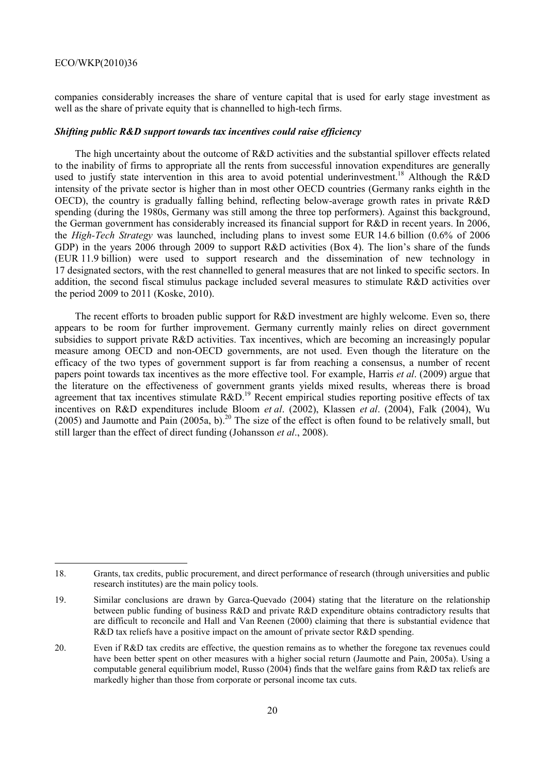companies considerably increases the share of venture capital that is used for early stage investment as well as the share of private equity that is channelled to high-tech firms.

#### *Shifting public R&D support towards tax incentives could raise efficiency*

The high uncertainty about the outcome of R&D activities and the substantial spillover effects related to the inability of firms to appropriate all the rents from successful innovation expenditures are generally used to justify state intervention in this area to avoid potential underinvestment.<sup>18</sup> Although the R&D intensity of the private sector is higher than in most other OECD countries (Germany ranks eighth in the OECD), the country is gradually falling behind, reflecting below-average growth rates in private R&D spending (during the 1980s, Germany was still among the three top performers). Against this background, the German government has considerably increased its financial support for R&D in recent years. In 2006, the *High-Tech Strategy* was launched, including plans to invest some EUR 14.6 billion (0.6% of 2006 GDP) in the years 2006 through 2009 to support R&D activities (Box 4). The lion's share of the funds (EUR 11.9 billion) were used to support research and the dissemination of new technology in 17 designated sectors, with the rest channelled to general measures that are not linked to specific sectors. In addition, the second fiscal stimulus package included several measures to stimulate R&D activities over the period 2009 to 2011 (Koske, 2010).

The recent efforts to broaden public support for R&D investment are highly welcome. Even so, there appears to be room for further improvement. Germany currently mainly relies on direct government subsidies to support private R&D activities. Tax incentives, which are becoming an increasingly popular measure among OECD and non-OECD governments, are not used. Even though the literature on the efficacy of the two types of government support is far from reaching a consensus, a number of recent papers point towards tax incentives as the more effective tool. For example, Harris *et al*. (2009) argue that the literature on the effectiveness of government grants yields mixed results, whereas there is broad agreement that tax incentives stimulate R&D.<sup>19</sup> Recent empirical studies reporting positive effects of tax incentives on R&D expenditures include Bloom *et al*. (2002), Klassen *et al*. (2004), Falk (2004), Wu (2005) and Jaumotte and Pain (2005a, b).<sup>20</sup> The size of the effect is often found to be relatively small, but still larger than the effect of direct funding (Johansson *et al*., 2008).

<sup>18.</sup> Grants, tax credits, public procurement, and direct performance of research (through universities and public research institutes) are the main policy tools.

<sup>19.</sup> Similar conclusions are drawn by Garca-Quevado (2004) stating that the literature on the relationship between public funding of business R&D and private R&D expenditure obtains contradictory results that are difficult to reconcile and Hall and Van Reenen (2000) claiming that there is substantial evidence that R&D tax reliefs have a positive impact on the amount of private sector R&D spending.

<sup>20.</sup> Even if R&D tax credits are effective, the question remains as to whether the foregone tax revenues could have been better spent on other measures with a higher social return (Jaumotte and Pain, 2005a). Using a computable general equilibrium model, Russo (2004) finds that the welfare gains from R&D tax reliefs are markedly higher than those from corporate or personal income tax cuts.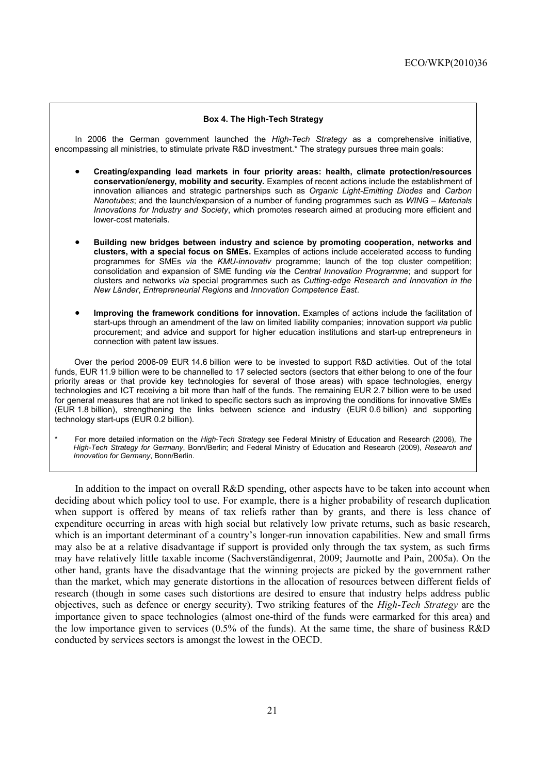### **Box 4. The High-Tech Strategy**

In 2006 the German government launched the *High-Tech Strategy* as a comprehensive initiative, encompassing all ministries, to stimulate private R&D investment.\* The strategy pursues three main goals:

- **Creating/expanding lead markets in four priority areas: health, climate protection/resources conservation/energy, mobility and security.** Examples of recent actions include the establishment of innovation alliances and strategic partnerships such as *Organic Light-Emitting Diodes* and *Carbon Nanotubes*; and the launch/expansion of a number of funding programmes such as *WING – Materials Innovations for Industry and Society*, which promotes research aimed at producing more efficient and lower-cost materials.
- **Building new bridges between industry and science by promoting cooperation, networks and clusters, with a special focus on SMEs.** Examples of actions include accelerated access to funding programmes for SMEs *via* the *KMU-innovativ* programme; launch of the top cluster competition; consolidation and expansion of SME funding *via* the *Central Innovation Programme*; and support for clusters and networks *via* special programmes such as *Cutting-edge Research and Innovation in the New Länder*, *Entrepreneurial Regions* and *Innovation Competence East*.
- **Improving the framework conditions for innovation.** Examples of actions include the facilitation of start-ups through an amendment of the law on limited liability companies; innovation support *via* public procurement; and advice and support for higher education institutions and start-up entrepreneurs in connection with patent law issues.

Over the period 2006-09 EUR 14.6 billion were to be invested to support R&D activities. Out of the total funds, EUR 11.9 billion were to be channelled to 17 selected sectors (sectors that either belong to one of the four priority areas or that provide key technologies for several of those areas) with space technologies, energy technologies and ICT receiving a bit more than half of the funds. The remaining EUR 2.7 billion were to be used for general measures that are not linked to specific sectors such as improving the conditions for innovative SMEs (EUR 1.8 billion), strengthening the links between science and industry (EUR 0.6 billion) and supporting technology start-ups (EUR 0.2 billion).

\* For more detailed information on the *High-Tech Strategy* see Federal Ministry of Education and Research (2006), *The High-Tech Strategy for Germany*, Bonn/Berlin; and Federal Ministry of Education and Research (2009), *Research and Innovation for Germany*, Bonn/Berlin.

In addition to the impact on overall R&D spending, other aspects have to be taken into account when deciding about which policy tool to use. For example, there is a higher probability of research duplication when support is offered by means of tax reliefs rather than by grants, and there is less chance of expenditure occurring in areas with high social but relatively low private returns, such as basic research, which is an important determinant of a country's longer-run innovation capabilities. New and small firms may also be at a relative disadvantage if support is provided only through the tax system, as such firms may have relatively little taxable income (Sachverständigenrat, 2009; Jaumotte and Pain, 2005a). On the other hand, grants have the disadvantage that the winning projects are picked by the government rather than the market, which may generate distortions in the allocation of resources between different fields of research (though in some cases such distortions are desired to ensure that industry helps address public objectives, such as defence or energy security). Two striking features of the *High-Tech Strategy* are the importance given to space technologies (almost one-third of the funds were earmarked for this area) and the low importance given to services (0.5% of the funds). At the same time, the share of business R&D conducted by services sectors is amongst the lowest in the OECD.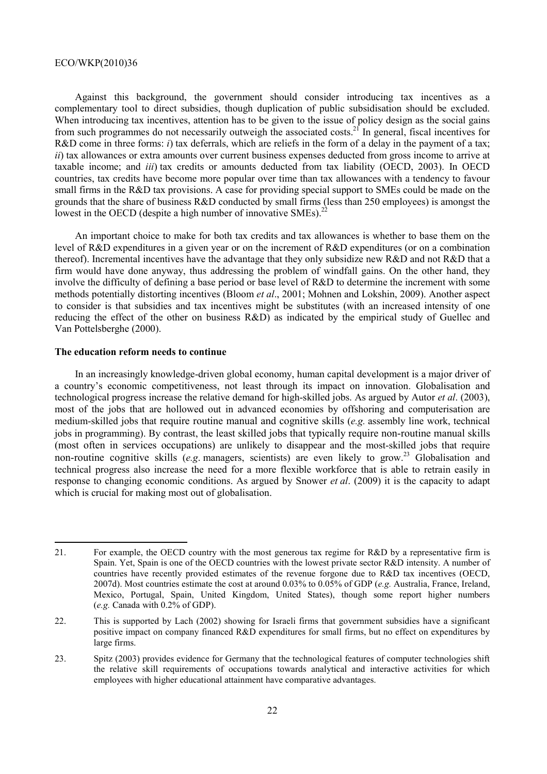Against this background, the government should consider introducing tax incentives as a complementary tool to direct subsidies, though duplication of public subsidisation should be excluded. When introducing tax incentives, attention has to be given to the issue of policy design as the social gains from such programmes do not necessarily outweigh the associated costs.<sup>21</sup> In general, fiscal incentives for R&D come in three forms: *i*) tax deferrals, which are reliefs in the form of a delay in the payment of a tax; *ii*) tax allowances or extra amounts over current business expenses deducted from gross income to arrive at taxable income; and *iii*) tax credits or amounts deducted from tax liability (OECD, 2003). In OECD countries, tax credits have become more popular over time than tax allowances with a tendency to favour small firms in the R&D tax provisions. A case for providing special support to SMEs could be made on the grounds that the share of business R&D conducted by small firms (less than 250 employees) is amongst the lowest in the OECD (despite a high number of innovative SMEs). $^{22}$ 

An important choice to make for both tax credits and tax allowances is whether to base them on the level of R&D expenditures in a given year or on the increment of R&D expenditures (or on a combination thereof). Incremental incentives have the advantage that they only subsidize new R&D and not R&D that a firm would have done anyway, thus addressing the problem of windfall gains. On the other hand, they involve the difficulty of defining a base period or base level of R&D to determine the increment with some methods potentially distorting incentives (Bloom *et al*., 2001; Mohnen and Lokshin, 2009). Another aspect to consider is that subsidies and tax incentives might be substitutes (with an increased intensity of one reducing the effect of the other on business R&D) as indicated by the empirical study of Guellec and Van Pottelsberghe (2000).

### **The education reform needs to continue**

In an increasingly knowledge-driven global economy, human capital development is a major driver of a country's economic competitiveness, not least through its impact on innovation. Globalisation and technological progress increase the relative demand for high-skilled jobs. As argued by Autor *et al*. (2003), most of the jobs that are hollowed out in advanced economies by offshoring and computerisation are medium-skilled jobs that require routine manual and cognitive skills (*e.g.* assembly line work, technical jobs in programming). By contrast, the least skilled jobs that typically require non-routine manual skills (most often in services occupations) are unlikely to disappear and the most-skilled jobs that require non-routine cognitive skills (*e.g.* managers, scientists) are even likely to grow.<sup>23</sup> Globalisation and technical progress also increase the need for a more flexible workforce that is able to retrain easily in response to changing economic conditions. As argued by Snower *et al*. (2009) it is the capacity to adapt which is crucial for making most out of globalisation.

 $\overline{a}$ 21. For example, the OECD country with the most generous tax regime for R&D by a representative firm is Spain. Yet, Spain is one of the OECD countries with the lowest private sector R&D intensity. A number of countries have recently provided estimates of the revenue forgone due to R&D tax incentives (OECD, 2007d). Most countries estimate the cost at around 0.03% to 0.05% of GDP (*e.g.* Australia, France, Ireland, Mexico, Portugal, Spain, United Kingdom, United States), though some report higher numbers (*e.g.* Canada with 0.2% of GDP).

<sup>22.</sup> This is supported by Lach (2002) showing for Israeli firms that government subsidies have a significant positive impact on company financed R&D expenditures for small firms, but no effect on expenditures by large firms.

<sup>23.</sup> Spitz (2003) provides evidence for Germany that the technological features of computer technologies shift the relative skill requirements of occupations towards analytical and interactive activities for which employees with higher educational attainment have comparative advantages.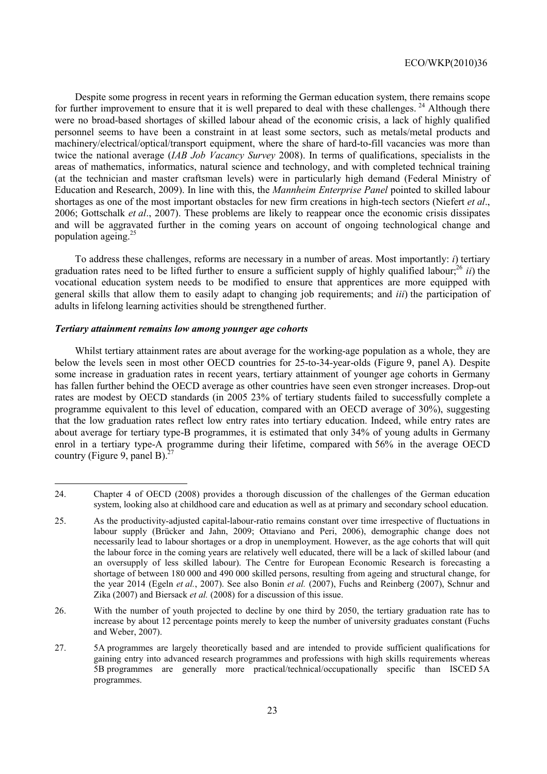Despite some progress in recent years in reforming the German education system, there remains scope for further improvement to ensure that it is well prepared to deal with these challenges.  $24$  Although there were no broad-based shortages of skilled labour ahead of the economic crisis, a lack of highly qualified personnel seems to have been a constraint in at least some sectors, such as metals/metal products and machinery/electrical/optical/transport equipment, where the share of hard-to-fill vacancies was more than twice the national average (*IAB Job Vacancy Survey* 2008). In terms of qualifications, specialists in the areas of mathematics, informatics, natural science and technology, and with completed technical training (at the technician and master craftsman levels) were in particularly high demand (Federal Ministry of Education and Research, 2009). In line with this, the *Mannheim Enterprise Panel* pointed to skilled labour shortages as one of the most important obstacles for new firm creations in high-tech sectors (Niefert *et al*., 2006; Gottschalk *et al*., 2007). These problems are likely to reappear once the economic crisis dissipates and will be aggravated further in the coming years on account of ongoing technological change and population ageing.25

To address these challenges, reforms are necessary in a number of areas. Most importantly: *i*) tertiary graduation rates need to be lifted further to ensure a sufficient supply of highly qualified labour;<sup>26</sup> *ii*) the vocational education system needs to be modified to ensure that apprentices are more equipped with general skills that allow them to easily adapt to changing job requirements; and *iii*) the participation of adults in lifelong learning activities should be strengthened further.

# *Tertiary attainment remains low among younger age cohorts*

 $\overline{a}$ 

Whilst tertiary attainment rates are about average for the working-age population as a whole, they are below the levels seen in most other OECD countries for 25-to-34-year-olds (Figure 9, panel A). Despite some increase in graduation rates in recent years, tertiary attainment of younger age cohorts in Germany has fallen further behind the OECD average as other countries have seen even stronger increases. Drop-out rates are modest by OECD standards (in 2005 23% of tertiary students failed to successfully complete a programme equivalent to this level of education, compared with an OECD average of 30%), suggesting that the low graduation rates reflect low entry rates into tertiary education. Indeed, while entry rates are about average for tertiary type-B programmes, it is estimated that only 34% of young adults in Germany enrol in a tertiary type-A programme during their lifetime, compared with 56% in the average OECD country (Figure 9, panel B). $^{2}$ 

26. With the number of youth projected to decline by one third by 2050, the tertiary graduation rate has to increase by about 12 percentage points merely to keep the number of university graduates constant (Fuchs and Weber, 2007).

<sup>24.</sup> Chapter 4 of OECD (2008) provides a thorough discussion of the challenges of the German education system, looking also at childhood care and education as well as at primary and secondary school education.

<sup>25.</sup> As the productivity-adjusted capital-labour-ratio remains constant over time irrespective of fluctuations in labour supply (Brücker and Jahn, 2009; Ottaviano and Peri, 2006), demographic change does not necessarily lead to labour shortages or a drop in unemployment. However, as the age cohorts that will quit the labour force in the coming years are relatively well educated, there will be a lack of skilled labour (and an oversupply of less skilled labour). The Centre for European Economic Research is forecasting a shortage of between 180 000 and 490 000 skilled persons, resulting from ageing and structural change, for the year 2014 (Egeln *et al.*, 2007). See also Bonin *et al.* (2007), Fuchs and Reinberg (2007), Schnur and Zika (2007) and Biersack *et al.* (2008) for a discussion of this issue.

<sup>27. 5</sup>A programmes are largely theoretically based and are intended to provide sufficient qualifications for gaining entry into advanced research programmes and professions with high skills requirements whereas 5B programmes are generally more practical/technical/occupationally specific than ISCED 5A programmes.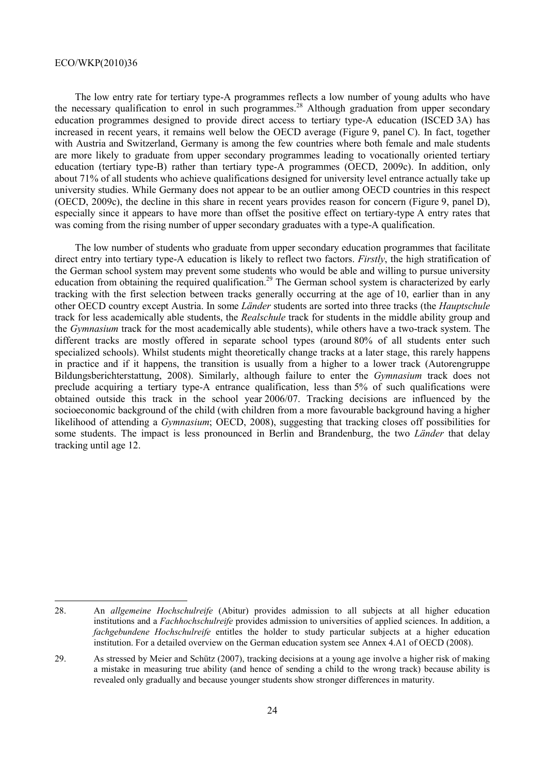The low entry rate for tertiary type-A programmes reflects a low number of young adults who have the necessary qualification to enrol in such programmes.<sup>28</sup> Although graduation from upper secondary education programmes designed to provide direct access to tertiary type-A education (ISCED 3A) has increased in recent years, it remains well below the OECD average (Figure 9, panel C). In fact, together with Austria and Switzerland, Germany is among the few countries where both female and male students are more likely to graduate from upper secondary programmes leading to vocationally oriented tertiary education (tertiary type-B) rather than tertiary type-A programmes (OECD, 2009c). In addition, only about 71% of all students who achieve qualifications designed for university level entrance actually take up university studies. While Germany does not appear to be an outlier among OECD countries in this respect (OECD, 2009c), the decline in this share in recent years provides reason for concern (Figure 9, panel D), especially since it appears to have more than offset the positive effect on tertiary-type A entry rates that was coming from the rising number of upper secondary graduates with a type-A qualification.

The low number of students who graduate from upper secondary education programmes that facilitate direct entry into tertiary type-A education is likely to reflect two factors. *Firstly*, the high stratification of the German school system may prevent some students who would be able and willing to pursue university education from obtaining the required qualification.<sup>29</sup> The German school system is characterized by early tracking with the first selection between tracks generally occurring at the age of 10, earlier than in any other OECD country except Austria. In some *Länder* students are sorted into three tracks (the *Hauptschule*  track for less academically able students, the *Realschule* track for students in the middle ability group and the *Gymnasium* track for the most academically able students), while others have a two-track system. The different tracks are mostly offered in separate school types (around 80% of all students enter such specialized schools). Whilst students might theoretically change tracks at a later stage, this rarely happens in practice and if it happens, the transition is usually from a higher to a lower track (Autorengruppe Bildungsberichterstattung, 2008). Similarly, although failure to enter the *Gymnasium* track does not preclude acquiring a tertiary type-A entrance qualification, less than 5% of such qualifications were obtained outside this track in the school year 2006/07. Tracking decisions are influenced by the socioeconomic background of the child (with children from a more favourable background having a higher likelihood of attending a *Gymnasium*; OECD, 2008), suggesting that tracking closes off possibilities for some students. The impact is less pronounced in Berlin and Brandenburg, the two *Länder* that delay tracking until age 12.

<sup>28.</sup> An *allgemeine Hochschulreife* (Abitur) provides admission to all subjects at all higher education institutions and a *Fachhochschulreife* provides admission to universities of applied sciences. In addition, a *fachgebundene Hochschulreife* entitles the holder to study particular subjects at a higher education institution. For a detailed overview on the German education system see Annex 4.A1 of OECD (2008).

<sup>29.</sup> As stressed by Meier and Schütz (2007), tracking decisions at a young age involve a higher risk of making a mistake in measuring true ability (and hence of sending a child to the wrong track) because ability is revealed only gradually and because younger students show stronger differences in maturity.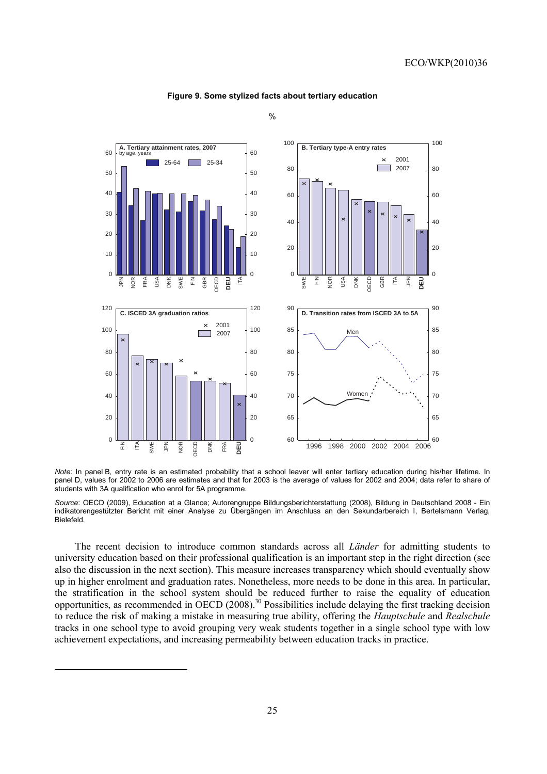

 $\Omega$ 10 20 30 40 50 60 0 10 20 30 40 50 <sup>60</sup> **A. Tertiary attainment rates, 2007** by age, years EN GERA<br>FRA USA DNK SWE  $\epsilon$ GBR OECD **DEU**  $E$ 25-64 25-34  $\Omega$ 20 40 60 80 100  $\Omega$ 20 40 60  $80$ 100 **B. Tertiary type-A entry rates x**2001 **xxxxxxxxxx**SWE FIN NOR USA DNK OECD GBR ITA  $\leq$ **DEU** 2007  $\Omega$ 20 40 60 80 100 120  $\Omega$ 20  $40$ 60 80 100 120 **C. ISCED 3A graduation ratios x**2001 **xxxxxxxxx** $\stackrel{\textstyle{Z}}{ \textstyle{\scriptstyle\rm E}}$ ITA SWE  $\leq$ NOR OECD DNK FRA **DEU** 2007 1996 1998 2000 2002 2004 2006 60 65 70 75 80 85 90 60 65 70 75 80 85 90 **D. Transition rates from ISCED 3A to 5A** Men Women

%

*Note*: In panel B, entry rate is an estimated probability that a school leaver will enter tertiary education during his/her lifetime. In panel D, values for 2002 to 2006 are estimates and that for 2003 is the average of values for 2002 and 2004; data refer to share of students with 3A qualification who enrol for 5A programme.

*Source*: OECD (2009), Education at a Glance; Autorengruppe Bildungsberichterstattung (2008), Bildung in Deutschland 2008 - Ein indikatorengestützter Bericht mit einer Analyse zu Übergängen im Anschluss an den Sekundarbereich I, Bertelsmann Verlag, Bielefeld.

The recent decision to introduce common standards across all *Länder* for admitting students to university education based on their professional qualification is an important step in the right direction (see also the discussion in the next section). This measure increases transparency which should eventually show up in higher enrolment and graduation rates. Nonetheless, more needs to be done in this area. In particular, the stratification in the school system should be reduced further to raise the equality of education opportunities, as recommended in OECD (2008).30 Possibilities include delaying the first tracking decision to reduce the risk of making a mistake in measuring true ability, offering the *Hauptschule* and *Realschule* tracks in one school type to avoid grouping very weak students together in a single school type with low achievement expectations, and increasing permeability between education tracks in practice.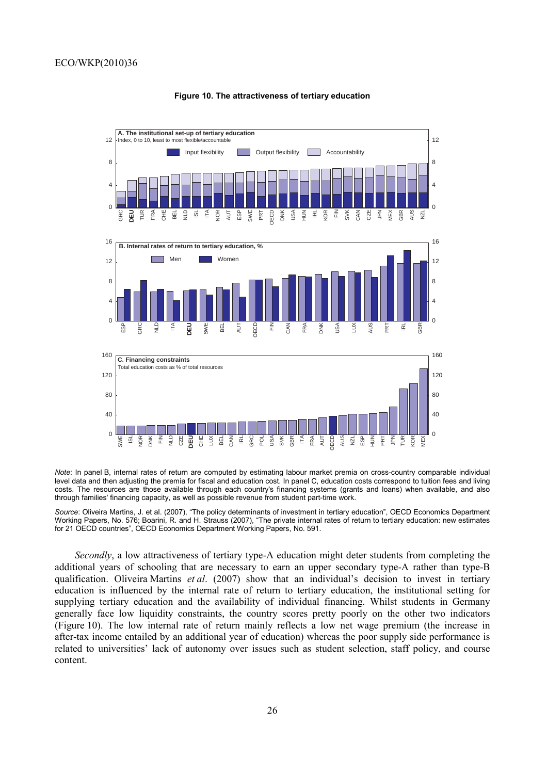

#### **Figure 10. The attractiveness of tertiary education**

*Note*: In panel B, internal rates of return are computed by estimating labour market premia on cross-country comparable individual level data and then adjusting the premia for fiscal and education cost. In panel C, education costs correspond to tuition fees and living costs. The resources are those available through each country's financing systems (grants and loans) when available, and also through families' financing capacity, as well as possible revenue from student part-time work.

*Source*: Oliveira Martins, J. et al. (2007), "The policy determinants of investment in tertiary education", OECD Economics Department Working Papers, No. 576; Boarini, R. and H. Strauss (2007), "The private internal rates of return to tertiary education: new estimates for 21 OECD countries", OECD Economics Department Working Papers, No. 591.

*Secondly*, a low attractiveness of tertiary type-A education might deter students from completing the additional years of schooling that are necessary to earn an upper secondary type-A rather than type-B qualification. Oliveira Martins *et al*. (2007) show that an individual's decision to invest in tertiary education is influenced by the internal rate of return to tertiary education, the institutional setting for supplying tertiary education and the availability of individual financing. Whilst students in Germany generally face low liquidity constraints, the country scores pretty poorly on the other two indicators (Figure 10). The low internal rate of return mainly reflects a low net wage premium (the increase in after-tax income entailed by an additional year of education) whereas the poor supply side performance is related to universities' lack of autonomy over issues such as student selection, staff policy, and course content.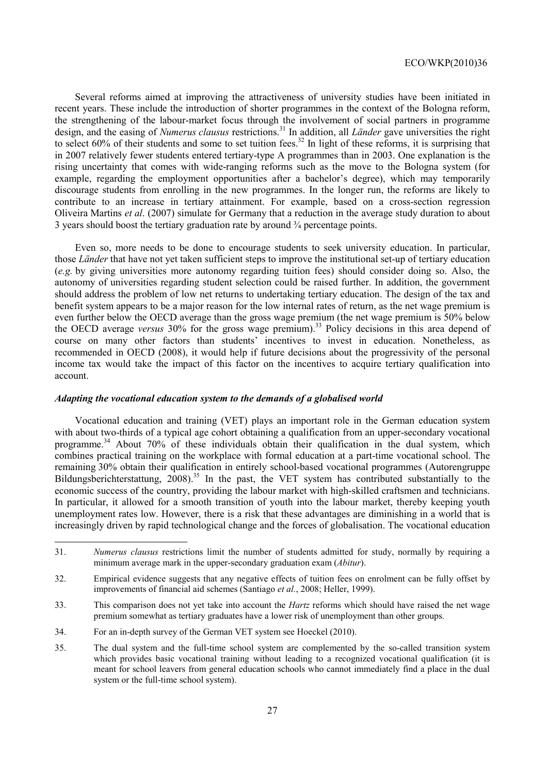Several reforms aimed at improving the attractiveness of university studies have been initiated in recent years. These include the introduction of shorter programmes in the context of the Bologna reform, the strengthening of the labour-market focus through the involvement of social partners in programme design, and the easing of *Numerus clausus* restrictions.31 In addition, all *Länder* gave universities the right to select  $60\%$  of their students and some to set tuition fees.<sup>32</sup> In light of these reforms, it is surprising that in 2007 relatively fewer students entered tertiary-type A programmes than in 2003. One explanation is the rising uncertainty that comes with wide-ranging reforms such as the move to the Bologna system (for example, regarding the employment opportunities after a bachelor's degree), which may temporarily discourage students from enrolling in the new programmes. In the longer run, the reforms are likely to contribute to an increase in tertiary attainment. For example, based on a cross-section regression Oliveira Martins *et al*. (2007) simulate for Germany that a reduction in the average study duration to about 3 years should boost the tertiary graduation rate by around ¾ percentage points.

Even so, more needs to be done to encourage students to seek university education. In particular, those *Länder* that have not yet taken sufficient steps to improve the institutional set-up of tertiary education (*e.g.* by giving universities more autonomy regarding tuition fees) should consider doing so. Also, the autonomy of universities regarding student selection could be raised further. In addition, the government should address the problem of low net returns to undertaking tertiary education. The design of the tax and benefit system appears to be a major reason for the low internal rates of return, as the net wage premium is even further below the OECD average than the gross wage premium (the net wage premium is 50% below the OECD average *versus* 30% for the gross wage premium).<sup>33</sup> Policy decisions in this area depend of course on many other factors than students' incentives to invest in education. Nonetheless, as recommended in OECD (2008), it would help if future decisions about the progressivity of the personal income tax would take the impact of this factor on the incentives to acquire tertiary qualification into account.

# *Adapting the vocational education system to the demands of a globalised world*

Vocational education and training (VET) plays an important role in the German education system with about two-thirds of a typical age cohort obtaining a qualification from an upper-secondary vocational programme.<sup>34</sup> About 70% of these individuals obtain their qualification in the dual system, which combines practical training on the workplace with formal education at a part-time vocational school. The remaining 30% obtain their qualification in entirely school-based vocational programmes (Autorengruppe Bildungsberichterstattung, 2008).<sup>35</sup> In the past, the VET system has contributed substantially to the economic success of the country, providing the labour market with high-skilled craftsmen and technicians. In particular, it allowed for a smooth transition of youth into the labour market, thereby keeping youth unemployment rates low. However, there is a risk that these advantages are diminishing in a world that is increasingly driven by rapid technological change and the forces of globalisation. The vocational education

 $\overline{a}$ 

<sup>31.</sup> *Numerus clausus* restrictions limit the number of students admitted for study, normally by requiring a minimum average mark in the upper-secondary graduation exam (*Abitur*).

<sup>32.</sup> Empirical evidence suggests that any negative effects of tuition fees on enrolment can be fully offset by improvements of financial aid schemes (Santiago *et al.*, 2008; Heller, 1999).

<sup>33.</sup> This comparison does not yet take into account the *Hartz* reforms which should have raised the net wage premium somewhat as tertiary graduates have a lower risk of unemployment than other groups.

<sup>34.</sup> For an in-depth survey of the German VET system see Hoeckel (2010).

<sup>35.</sup> The dual system and the full-time school system are complemented by the so-called transition system which provides basic vocational training without leading to a recognized vocational qualification (it is meant for school leavers from general education schools who cannot immediately find a place in the dual system or the full-time school system).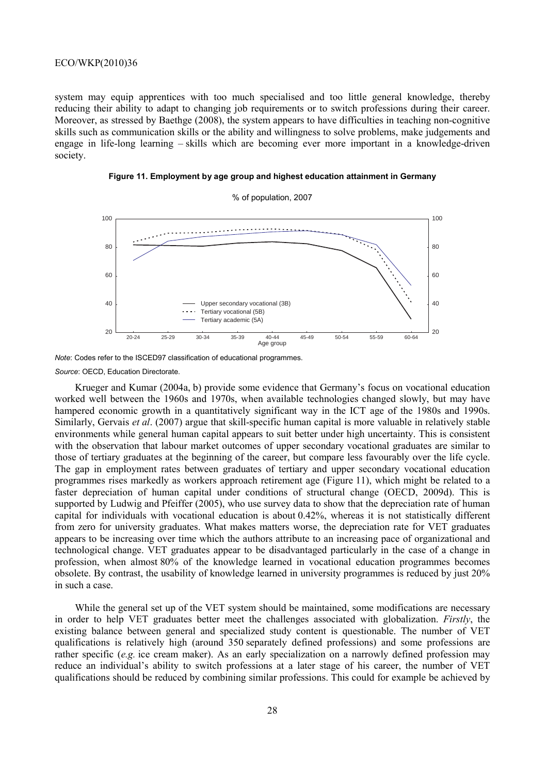system may equip apprentices with too much specialised and too little general knowledge, thereby reducing their ability to adapt to changing job requirements or to switch professions during their career. Moreover, as stressed by Baethge (2008), the system appears to have difficulties in teaching non-cognitive skills such as communication skills or the ability and willingness to solve problems, make judgements and engage in life-long learning – skills which are becoming ever more important in a knowledge-driven society.



% of population, 2007



*Note*: Codes refer to the ISCED97 classification of educational programmes. *Source*: OECD, Education Directorate.

Krueger and Kumar (2004a, b) provide some evidence that Germany's focus on vocational education worked well between the 1960s and 1970s, when available technologies changed slowly, but may have hampered economic growth in a quantitatively significant way in the ICT age of the 1980s and 1990s. Similarly, Gervais *et al*. (2007) argue that skill-specific human capital is more valuable in relatively stable environments while general human capital appears to suit better under high uncertainty. This is consistent with the observation that labour market outcomes of upper secondary vocational graduates are similar to those of tertiary graduates at the beginning of the career, but compare less favourably over the life cycle. The gap in employment rates between graduates of tertiary and upper secondary vocational education programmes rises markedly as workers approach retirement age (Figure 11), which might be related to a faster depreciation of human capital under conditions of structural change (OECD, 2009d). This is supported by Ludwig and Pfeiffer (2005), who use survey data to show that the depreciation rate of human capital for individuals with vocational education is about 0.42%, whereas it is not statistically different from zero for university graduates. What makes matters worse, the depreciation rate for VET graduates appears to be increasing over time which the authors attribute to an increasing pace of organizational and technological change. VET graduates appear to be disadvantaged particularly in the case of a change in profession, when almost 80% of the knowledge learned in vocational education programmes becomes obsolete. By contrast, the usability of knowledge learned in university programmes is reduced by just 20% in such a case.

While the general set up of the VET system should be maintained, some modifications are necessary in order to help VET graduates better meet the challenges associated with globalization. *Firstly*, the existing balance between general and specialized study content is questionable. The number of VET qualifications is relatively high (around 350 separately defined professions) and some professions are rather specific (*e.g.* ice cream maker). As an early specialization on a narrowly defined profession may reduce an individual's ability to switch professions at a later stage of his career, the number of VET qualifications should be reduced by combining similar professions. This could for example be achieved by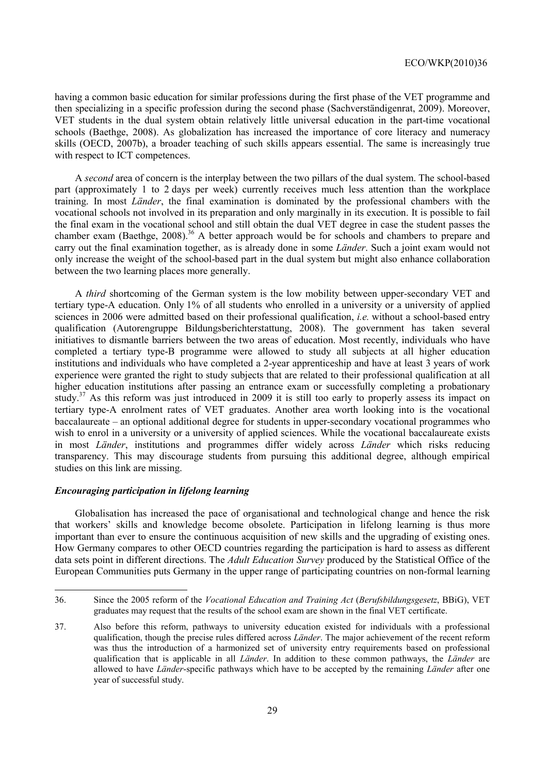having a common basic education for similar professions during the first phase of the VET programme and then specializing in a specific profession during the second phase (Sachverständigenrat, 2009). Moreover, VET students in the dual system obtain relatively little universal education in the part-time vocational schools (Baethge, 2008). As globalization has increased the importance of core literacy and numeracy skills (OECD, 2007b), a broader teaching of such skills appears essential. The same is increasingly true with respect to ICT competences.

A *second* area of concern is the interplay between the two pillars of the dual system. The school-based part (approximately 1 to 2 days per week) currently receives much less attention than the workplace training. In most *Länder*, the final examination is dominated by the professional chambers with the vocational schools not involved in its preparation and only marginally in its execution. It is possible to fail the final exam in the vocational school and still obtain the dual VET degree in case the student passes the chamber exam (Baethge, 2008).<sup>36</sup> A better approach would be for schools and chambers to prepare and carry out the final examination together, as is already done in some *Länder*. Such a joint exam would not only increase the weight of the school-based part in the dual system but might also enhance collaboration between the two learning places more generally.

A *third* shortcoming of the German system is the low mobility between upper-secondary VET and tertiary type-A education. Only 1% of all students who enrolled in a university or a university of applied sciences in 2006 were admitted based on their professional qualification, *i.e.* without a school-based entry qualification (Autorengruppe Bildungsberichterstattung, 2008). The government has taken several initiatives to dismantle barriers between the two areas of education. Most recently, individuals who have completed a tertiary type-B programme were allowed to study all subjects at all higher education institutions and individuals who have completed a 2-year apprenticeship and have at least 3 years of work experience were granted the right to study subjects that are related to their professional qualification at all higher education institutions after passing an entrance exam or successfully completing a probationary study.<sup>37</sup> As this reform was just introduced in 2009 it is still too early to properly assess its impact on tertiary type-A enrolment rates of VET graduates. Another area worth looking into is the vocational baccalaureate – an optional additional degree for students in upper-secondary vocational programmes who wish to enrol in a university or a university of applied sciences. While the vocational baccalaureate exists in most *Länder*, institutions and programmes differ widely across *Länder* which risks reducing transparency. This may discourage students from pursuing this additional degree, although empirical studies on this link are missing.

# *Encouraging participation in lifelong learning*

Globalisation has increased the pace of organisational and technological change and hence the risk that workers' skills and knowledge become obsolete. Participation in lifelong learning is thus more important than ever to ensure the continuous acquisition of new skills and the upgrading of existing ones. How Germany compares to other OECD countries regarding the participation is hard to assess as different data sets point in different directions. The *Adult Education Survey* produced by the Statistical Office of the European Communities puts Germany in the upper range of participating countries on non-formal learning

<sup>36.</sup> Since the 2005 reform of the *Vocational Education and Training Act* (*Berufsbildungsgesetz*, BBiG), VET graduates may request that the results of the school exam are shown in the final VET certificate.

<sup>37.</sup> Also before this reform, pathways to university education existed for individuals with a professional qualification, though the precise rules differed across *Länder*. The major achievement of the recent reform was thus the introduction of a harmonized set of university entry requirements based on professional qualification that is applicable in all *Länder*. In addition to these common pathways, the *Länder* are allowed to have *Länder*-specific pathways which have to be accepted by the remaining *Länder* after one year of successful study.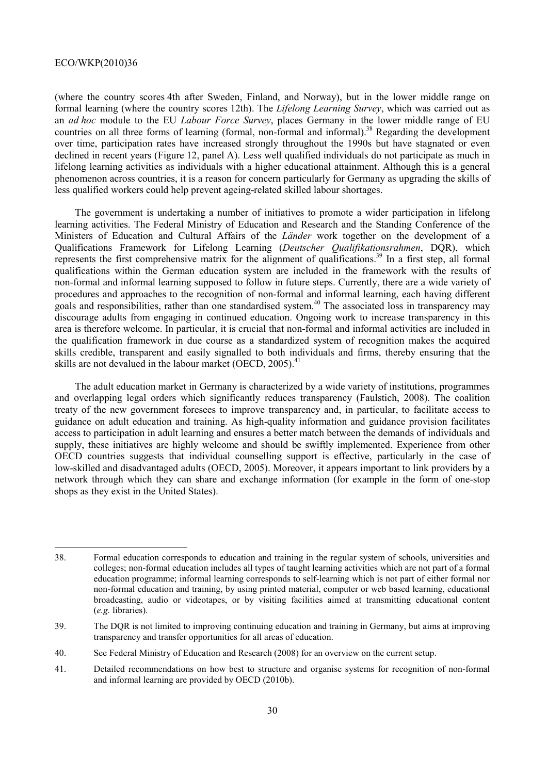$\overline{a}$ 

(where the country scores 4th after Sweden, Finland, and Norway), but in the lower middle range on formal learning (where the country scores 12th). The *Lifelong Learning Survey*, which was carried out as an *ad hoc* module to the EU *Labour Force Survey*, places Germany in the lower middle range of EU countries on all three forms of learning (formal, non-formal and informal).<sup>38</sup> Regarding the development over time, participation rates have increased strongly throughout the 1990s but have stagnated or even declined in recent years (Figure 12, panel A). Less well qualified individuals do not participate as much in lifelong learning activities as individuals with a higher educational attainment. Although this is a general phenomenon across countries, it is a reason for concern particularly for Germany as upgrading the skills of less qualified workers could help prevent ageing-related skilled labour shortages.

The government is undertaking a number of initiatives to promote a wider participation in lifelong learning activities. The Federal Ministry of Education and Research and the Standing Conference of the Ministers of Education and Cultural Affairs of the *Länder* work together on the development of a Qualifications Framework for Lifelong Learning (*Deutscher Qualifikationsrahmen*, DQR), which represents the first comprehensive matrix for the alignment of qualifications.<sup>39</sup> In a first step, all formal qualifications within the German education system are included in the framework with the results of non-formal and informal learning supposed to follow in future steps. Currently, there are a wide variety of procedures and approaches to the recognition of non-formal and informal learning, each having different goals and responsibilities, rather than one standardised system.<sup>40</sup> The associated loss in transparency may discourage adults from engaging in continued education. Ongoing work to increase transparency in this area is therefore welcome. In particular, it is crucial that non-formal and informal activities are included in the qualification framework in due course as a standardized system of recognition makes the acquired skills credible, transparent and easily signalled to both individuals and firms, thereby ensuring that the skills are not devalued in the labour market (OECD,  $2005$ ).<sup>41</sup>

The adult education market in Germany is characterized by a wide variety of institutions, programmes and overlapping legal orders which significantly reduces transparency (Faulstich, 2008). The coalition treaty of the new government foresees to improve transparency and, in particular, to facilitate access to guidance on adult education and training. As high-quality information and guidance provision facilitates access to participation in adult learning and ensures a better match between the demands of individuals and supply, these initiatives are highly welcome and should be swiftly implemented. Experience from other OECD countries suggests that individual counselling support is effective, particularly in the case of low-skilled and disadvantaged adults (OECD, 2005). Moreover, it appears important to link providers by a network through which they can share and exchange information (for example in the form of one-stop shops as they exist in the United States).

<sup>38.</sup> Formal education corresponds to education and training in the regular system of schools, universities and colleges; non-formal education includes all types of taught learning activities which are not part of a formal education programme; informal learning corresponds to self-learning which is not part of either formal nor non-formal education and training, by using printed material, computer or web based learning, educational broadcasting, audio or videotapes, or by visiting facilities aimed at transmitting educational content (*e.g.* libraries).

<sup>39.</sup> The DQR is not limited to improving continuing education and training in Germany, but aims at improving transparency and transfer opportunities for all areas of education.

<sup>40.</sup> See Federal Ministry of Education and Research (2008) for an overview on the current setup.

<sup>41.</sup> Detailed recommendations on how best to structure and organise systems for recognition of non-formal and informal learning are provided by OECD (2010b).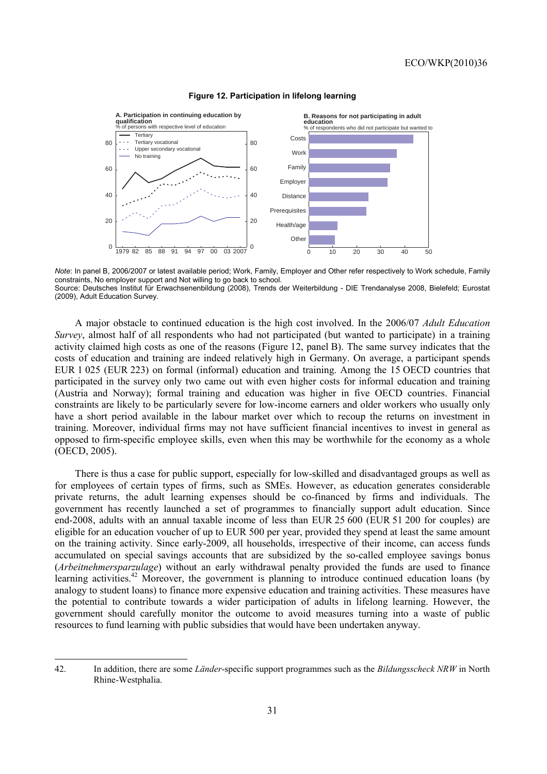

#### **Figure 12. Participation in lifelong learning**

*Note*: In panel B, 2006/2007 or latest available period; Work, Family, Employer and Other refer respectively to Work schedule, Family constraints, No employer support and Not willing to go back to school. Source: Deutsches Institut für Erwachsenenbildung (2008), Trends der Weiterbildung - DIE Trendanalyse 2008, Bielefeld; Eurostat

(2009), Adult Education Survey.

A major obstacle to continued education is the high cost involved. In the 2006/07 *Adult Education Survey*, almost half of all respondents who had not participated (but wanted to participate) in a training activity claimed high costs as one of the reasons (Figure 12, panel B). The same survey indicates that the costs of education and training are indeed relatively high in Germany. On average, a participant spends EUR 1 025 (EUR 223) on formal (informal) education and training. Among the 15 OECD countries that participated in the survey only two came out with even higher costs for informal education and training (Austria and Norway); formal training and education was higher in five OECD countries. Financial constraints are likely to be particularly severe for low-income earners and older workers who usually only have a short period available in the labour market over which to recoup the returns on investment in training. Moreover, individual firms may not have sufficient financial incentives to invest in general as opposed to firm-specific employee skills, even when this may be worthwhile for the economy as a whole (OECD, 2005).

There is thus a case for public support, especially for low-skilled and disadvantaged groups as well as for employees of certain types of firms, such as SMEs. However, as education generates considerable private returns, the adult learning expenses should be co-financed by firms and individuals. The government has recently launched a set of programmes to financially support adult education. Since end-2008, adults with an annual taxable income of less than EUR 25 600 (EUR 51 200 for couples) are eligible for an education voucher of up to EUR 500 per year, provided they spend at least the same amount on the training activity. Since early-2009, all households, irrespective of their income, can access funds accumulated on special savings accounts that are subsidized by the so-called employee savings bonus (*Arbeitnehmersparzulage*) without an early withdrawal penalty provided the funds are used to finance learning activities.<sup>42</sup> Moreover, the government is planning to introduce continued education loans (by analogy to student loans) to finance more expensive education and training activities. These measures have the potential to contribute towards a wider participation of adults in lifelong learning. However, the government should carefully monitor the outcome to avoid measures turning into a waste of public resources to fund learning with public subsidies that would have been undertaken anyway.

 $\overline{a}$ 

<sup>42.</sup> In addition, there are some *Länder*-specific support programmes such as the *Bildungsscheck NRW* in North Rhine-Westphalia.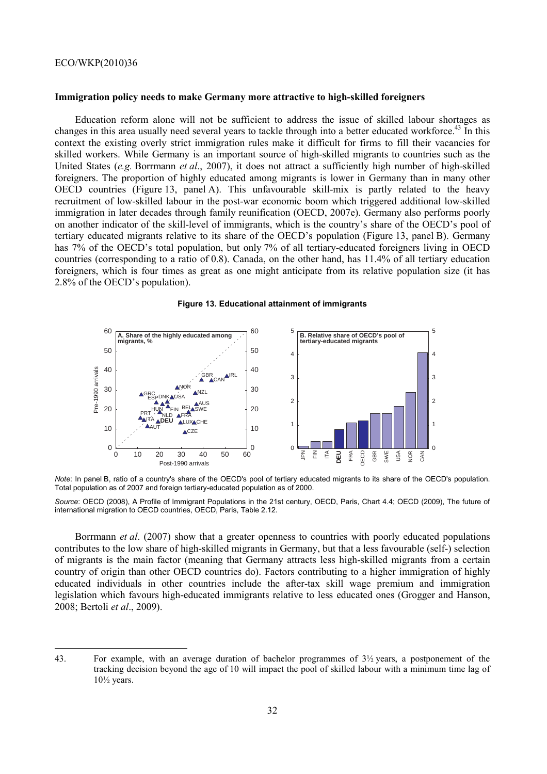$\overline{a}$ 

#### **Immigration policy needs to make Germany more attractive to high-skilled foreigners**

Education reform alone will not be sufficient to address the issue of skilled labour shortages as changes in this area usually need several years to tackle through into a better educated workforce.<sup>43</sup> In this context the existing overly strict immigration rules make it difficult for firms to fill their vacancies for skilled workers. While Germany is an important source of high-skilled migrants to countries such as the United States (*e.g.* Borrmann *et al*., 2007), it does not attract a sufficiently high number of high-skilled foreigners. The proportion of highly educated among migrants is lower in Germany than in many other OECD countries (Figure 13, panel A). This unfavourable skill-mix is partly related to the heavy recruitment of low-skilled labour in the post-war economic boom which triggered additional low-skilled immigration in later decades through family reunification (OECD, 2007e). Germany also performs poorly on another indicator of the skill-level of immigrants, which is the country's share of the OECD's pool of tertiary educated migrants relative to its share of the OECD's population (Figure 13, panel B). Germany has 7% of the OECD's total population, but only 7% of all tertiary-educated foreigners living in OECD countries (corresponding to a ratio of 0.8). Canada, on the other hand, has 11.4% of all tertiary education foreigners, which is four times as great as one might anticipate from its relative population size (it has 2.8% of the OECD's population).

#### **Figure 13. Educational attainment of immigrants**



*Note*: In panel B, ratio of a country's share of the OECD's pool of tertiary educated migrants to its share of the OECD's population. Total population as of 2007 and foreign tertiary-educated population as of 2000.

*Source*: OECD (2008), A Profile of Immigrant Populations in the 21st century, OECD, Paris, Chart 4.4; OECD (2009), The future of international migration to OECD countries, OECD, Paris, Table 2.12.

Borrmann *et al*. (2007) show that a greater openness to countries with poorly educated populations contributes to the low share of high-skilled migrants in Germany, but that a less favourable (self-) selection of migrants is the main factor (meaning that Germany attracts less high-skilled migrants from a certain country of origin than other OECD countries do). Factors contributing to a higher immigration of highly educated individuals in other countries include the after-tax skill wage premium and immigration legislation which favours high-educated immigrants relative to less educated ones (Grogger and Hanson, 2008; Bertoli *et al*., 2009).

<sup>43.</sup> For example, with an average duration of bachelor programmes of 3½ years, a postponement of the tracking decision beyond the age of 10 will impact the pool of skilled labour with a minimum time lag of  $10\frac{1}{2}$  years.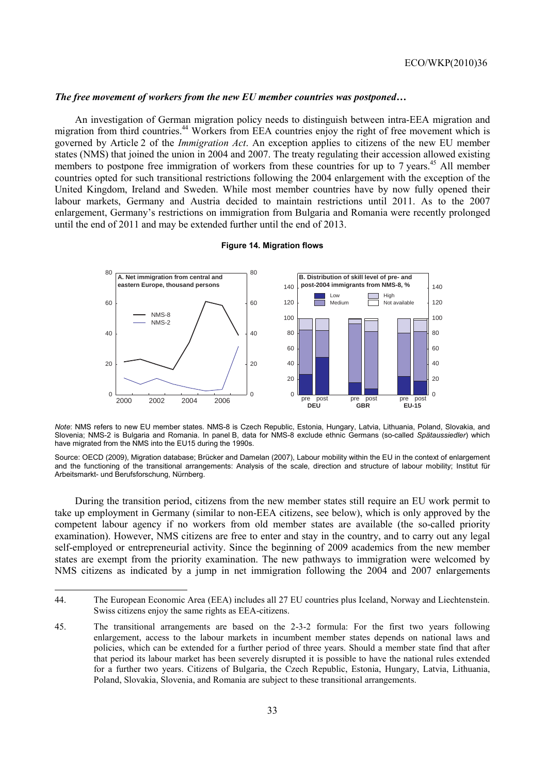#### *The free movement of workers from the new EU member countries was postponed…*

An investigation of German migration policy needs to distinguish between intra-EEA migration and migration from third countries.<sup>44</sup> Workers from EEA countries enjoy the right of free movement which is governed by Article 2 of the *Immigration Act*. An exception applies to citizens of the new EU member states (NMS) that joined the union in 2004 and 2007. The treaty regulating their accession allowed existing members to postpone free immigration of workers from these countries for up to 7 years.<sup>45</sup> All member countries opted for such transitional restrictions following the 2004 enlargement with the exception of the United Kingdom, Ireland and Sweden. While most member countries have by now fully opened their labour markets, Germany and Austria decided to maintain restrictions until 2011. As to the 2007 enlargement, Germany's restrictions on immigration from Bulgaria and Romania were recently prolonged until the end of 2011 and may be extended further until the end of 2013.



#### **Figure 14. Migration flows**

*Note*: NMS refers to new EU member states. NMS-8 is Czech Republic, Estonia, Hungary, Latvia, Lithuania, Poland, Slovakia, and Slovenia; NMS-2 is Bulgaria and Romania. In panel B, data for NMS-8 exclude ethnic Germans (so-called *Spätaussiedler*) which have migrated from the NMS into the EU15 during the 1990s.

Source: OECD (2009), Migration database; Brücker and Damelan (2007), Labour mobility within the EU in the context of enlargement and the functioning of the transitional arrangements: Analysis of the scale, direction and structure of labour mobility; Institut für Arbeitsmarkt- und Berufsforschung, Nürnberg.

During the transition period, citizens from the new member states still require an EU work permit to take up employment in Germany (similar to non-EEA citizens, see below), which is only approved by the competent labour agency if no workers from old member states are available (the so-called priority examination). However, NMS citizens are free to enter and stay in the country, and to carry out any legal self-employed or entrepreneurial activity. Since the beginning of 2009 academics from the new member states are exempt from the priority examination. The new pathways to immigration were welcomed by NMS citizens as indicated by a jump in net immigration following the 2004 and 2007 enlargements

<sup>44.</sup> The European Economic Area (EEA) includes all 27 EU countries plus Iceland, Norway and Liechtenstein. Swiss citizens enjoy the same rights as EEA-citizens.

<sup>45.</sup> The transitional arrangements are based on the 2-3-2 formula: For the first two years following enlargement, access to the labour markets in incumbent member states depends on national laws and policies, which can be extended for a further period of three years. Should a member state find that after that period its labour market has been severely disrupted it is possible to have the national rules extended for a further two years. Citizens of Bulgaria, the Czech Republic, Estonia, Hungary, Latvia, Lithuania, Poland, Slovakia, Slovenia, and Romania are subject to these transitional arrangements.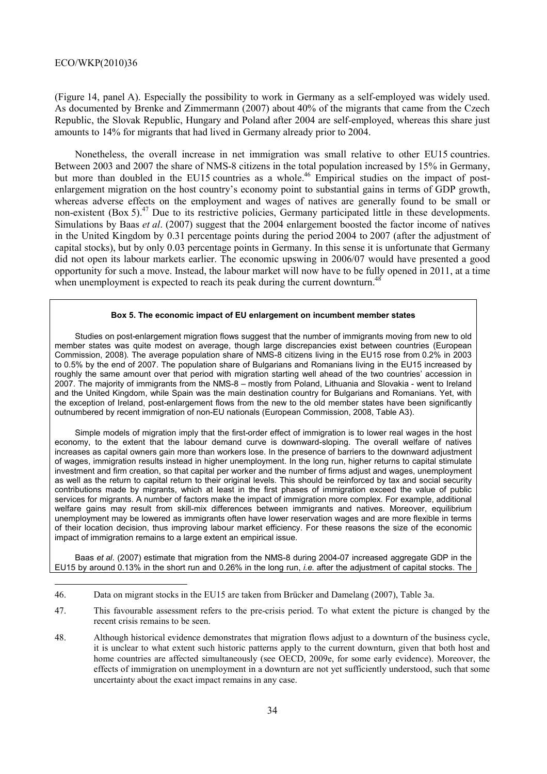(Figure 14, panel A). Especially the possibility to work in Germany as a self-employed was widely used. As documented by Brenke and Zimmermann (2007) about 40% of the migrants that came from the Czech Republic, the Slovak Republic, Hungary and Poland after 2004 are self-employed, whereas this share just amounts to 14% for migrants that had lived in Germany already prior to 2004.

Nonetheless, the overall increase in net immigration was small relative to other EU15 countries. Between 2003 and 2007 the share of NMS-8 citizens in the total population increased by 15% in Germany, but more than doubled in the EU15 countries as a whole.<sup>46</sup> Empirical studies on the impact of postenlargement migration on the host country's economy point to substantial gains in terms of GDP growth, whereas adverse effects on the employment and wages of natives are generally found to be small or non-existent (Box 5).<sup>47</sup> Due to its restrictive policies, Germany participated little in these developments. Simulations by Baas *et al*. (2007) suggest that the 2004 enlargement boosted the factor income of natives in the United Kingdom by 0.31 percentage points during the period 2004 to 2007 (after the adjustment of capital stocks), but by only 0.03 percentage points in Germany. In this sense it is unfortunate that Germany did not open its labour markets earlier. The economic upswing in 2006/07 would have presented a good opportunity for such a move. Instead, the labour market will now have to be fully opened in 2011, at a time when unemployment is expected to reach its peak during the current downturn.<sup>48</sup>

### **Box 5. The economic impact of EU enlargement on incumbent member states**

Studies on post-enlargement migration flows suggest that the number of immigrants moving from new to old member states was quite modest on average, though large discrepancies exist between countries (European Commission, 2008). The average population share of NMS-8 citizens living in the EU15 rose from 0.2% in 2003 to 0.5% by the end of 2007. The population share of Bulgarians and Romanians living in the EU15 increased by roughly the same amount over that period with migration starting well ahead of the two countries' accession in 2007. The majority of immigrants from the NMS-8 – mostly from Poland, Lithuania and Slovakia - went to Ireland and the United Kingdom, while Spain was the main destination country for Bulgarians and Romanians. Yet, with the exception of Ireland, post-enlargement flows from the new to the old member states have been significantly outnumbered by recent immigration of non-EU nationals (European Commission, 2008, Table A3).

Simple models of migration imply that the first-order effect of immigration is to lower real wages in the host economy, to the extent that the labour demand curve is downward-sloping. The overall welfare of natives increases as capital owners gain more than workers lose. In the presence of barriers to the downward adjustment of wages, immigration results instead in higher unemployment. In the long run, higher returns to capital stimulate investment and firm creation, so that capital per worker and the number of firms adjust and wages, unemployment as well as the return to capital return to their original levels. This should be reinforced by tax and social security contributions made by migrants, which at least in the first phases of immigration exceed the value of public services for migrants. A number of factors make the impact of immigration more complex. For example, additional welfare gains may result from skill-mix differences between immigrants and natives. Moreover, equilibrium unemployment may be lowered as immigrants often have lower reservation wages and are more flexible in terms of their location decision, thus improving labour market efficiency. For these reasons the size of the economic impact of immigration remains to a large extent an empirical issue.

Baas *et al*. (2007) estimate that migration from the NMS-8 during 2004-07 increased aggregate GDP in the EU15 by around 0.13% in the short run and 0.26% in the long run, *i.e.* after the adjustment of capital stocks. The

<sup>46.</sup> Data on migrant stocks in the EU15 are taken from Brücker and Damelang (2007), Table 3a.

<sup>47.</sup> This favourable assessment refers to the pre-crisis period. To what extent the picture is changed by the recent crisis remains to be seen.

<sup>48.</sup> Although historical evidence demonstrates that migration flows adjust to a downturn of the business cycle, it is unclear to what extent such historic patterns apply to the current downturn, given that both host and home countries are affected simultaneously (see OECD, 2009e, for some early evidence). Moreover, the effects of immigration on unemployment in a downturn are not yet sufficiently understood, such that some uncertainty about the exact impact remains in any case.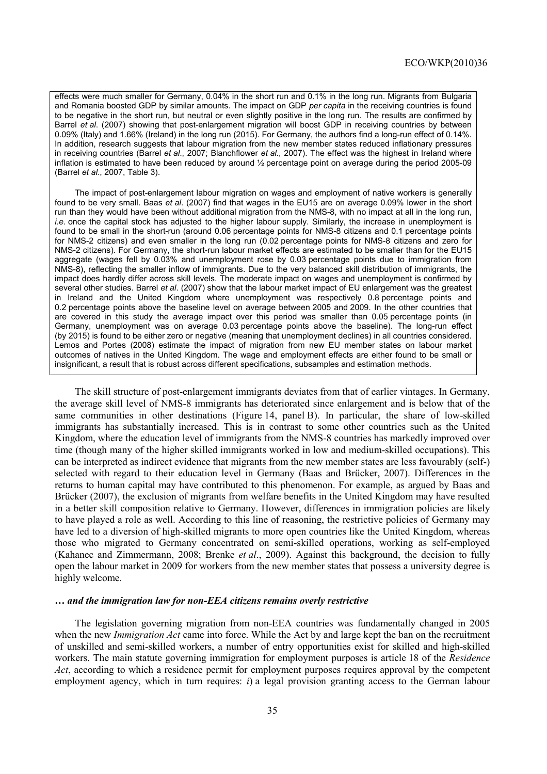effects were much smaller for Germany, 0.04% in the short run and 0.1% in the long run. Migrants from Bulgaria and Romania boosted GDP by similar amounts. The impact on GDP *per capita* in the receiving countries is found to be negative in the short run, but neutral or even slightly positive in the long run. The results are confirmed by Barrel *et al*. (2007) showing that post-enlargement migration will boost GDP in receiving countries by between 0.09% (Italy) and 1.66% (Ireland) in the long run (2015). For Germany, the authors find a long-run effect of 0.14%. In addition, research suggests that labour migration from the new member states reduced inflationary pressures in receiving countries (Barrel *et al*., 2007; Blanchflower *et al*., 2007). The effect was the highest in Ireland where inflation is estimated to have been reduced by around ½ percentage point on average during the period 2005-09 (Barrel *et al*., 2007, Table 3).

The impact of post-enlargement labour migration on wages and employment of native workers is generally found to be very small. Baas *et al*. (2007) find that wages in the EU15 are on average 0.09% lower in the short run than they would have been without additional migration from the NMS-8, with no impact at all in the long run, *i.e.* once the capital stock has adjusted to the higher labour supply. Similarly, the increase in unemployment is found to be small in the short-run (around 0.06 percentage points for NMS-8 citizens and 0.1 percentage points for NMS-2 citizens) and even smaller in the long run (0.02 percentage points for NMS-8 citizens and zero for NMS-2 citizens). For Germany, the short-run labour market effects are estimated to be smaller than for the EU15 aggregate (wages fell by 0.03% and unemployment rose by 0.03 percentage points due to immigration from NMS-8), reflecting the smaller inflow of immigrants. Due to the very balanced skill distribution of immigrants, the impact does hardly differ across skill levels. The moderate impact on wages and unemployment is confirmed by several other studies. Barrel *et al*. (2007) show that the labour market impact of EU enlargement was the greatest in Ireland and the United Kingdom where unemployment was respectively 0.8 percentage points and 0.2 percentage points above the baseline level on average between 2005 and 2009. In the other countries that are covered in this study the average impact over this period was smaller than 0.05 percentage points (in Germany, unemployment was on average 0.03 percentage points above the baseline). The long-run effect (by 2015) is found to be either zero or negative (meaning that unemployment declines) in all countries considered. Lemos and Portes (2008) estimate the impact of migration from new EU member states on labour market outcomes of natives in the United Kingdom. The wage and employment effects are either found to be small or insignificant, a result that is robust across different specifications, subsamples and estimation methods.

The skill structure of post-enlargement immigrants deviates from that of earlier vintages. In Germany, the average skill level of NMS-8 immigrants has deteriorated since enlargement and is below that of the same communities in other destinations (Figure 14, panel B). In particular, the share of low-skilled immigrants has substantially increased. This is in contrast to some other countries such as the United Kingdom, where the education level of immigrants from the NMS-8 countries has markedly improved over time (though many of the higher skilled immigrants worked in low and medium-skilled occupations). This can be interpreted as indirect evidence that migrants from the new member states are less favourably (self-) selected with regard to their education level in Germany (Baas and Brücker, 2007). Differences in the returns to human capital may have contributed to this phenomenon. For example, as argued by Baas and Brücker (2007), the exclusion of migrants from welfare benefits in the United Kingdom may have resulted in a better skill composition relative to Germany. However, differences in immigration policies are likely to have played a role as well. According to this line of reasoning, the restrictive policies of Germany may have led to a diversion of high-skilled migrants to more open countries like the United Kingdom, whereas those who migrated to Germany concentrated on semi-skilled operations, working as self-employed (Kahanec and Zimmermann, 2008; Brenke *et al*., 2009). Against this background, the decision to fully open the labour market in 2009 for workers from the new member states that possess a university degree is highly welcome.

# *… and the immigration law for non-EEA citizens remains overly restrictive*

The legislation governing migration from non-EEA countries was fundamentally changed in 2005 when the new *Immigration Act* came into force. While the Act by and large kept the ban on the recruitment of unskilled and semi-skilled workers, a number of entry opportunities exist for skilled and high-skilled workers. The main statute governing immigration for employment purposes is article 18 of the *Residence Act*, according to which a residence permit for employment purposes requires approval by the competent employment agency, which in turn requires: *i*) a legal provision granting access to the German labour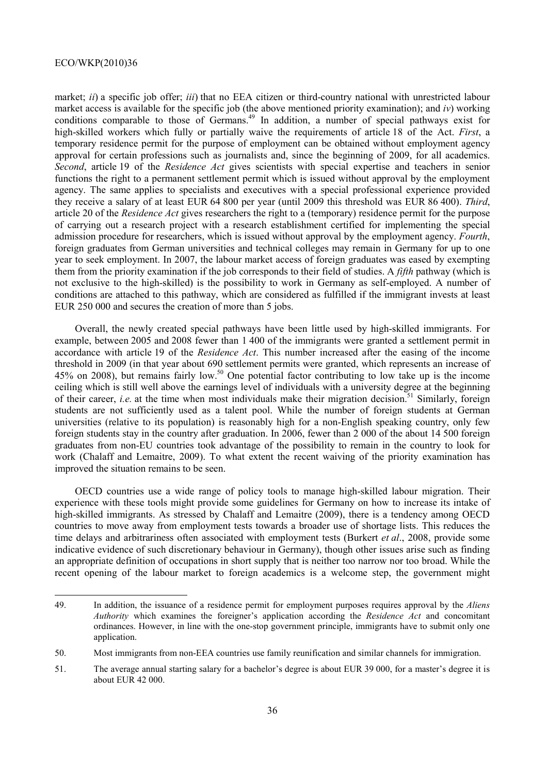market; *ii*) a specific job offer; *iii*) that no EEA citizen or third-country national with unrestricted labour market access is available for the specific job (the above mentioned priority examination); and *iv*) working conditions comparable to those of Germans.<sup>49</sup> In addition, a number of special pathways exist for high-skilled workers which fully or partially waive the requirements of article 18 of the Act. *First*, a temporary residence permit for the purpose of employment can be obtained without employment agency approval for certain professions such as journalists and, since the beginning of 2009, for all academics. *Second*, article 19 of the *Residence Act* gives scientists with special expertise and teachers in senior functions the right to a permanent settlement permit which is issued without approval by the employment agency. The same applies to specialists and executives with a special professional experience provided they receive a salary of at least EUR 64 800 per year (until 2009 this threshold was EUR 86 400). *Third*, article 20 of the *Residence Act* gives researchers the right to a (temporary) residence permit for the purpose of carrying out a research project with a research establishment certified for implementing the special admission procedure for researchers, which is issued without approval by the employment agency. *Fourth*, foreign graduates from German universities and technical colleges may remain in Germany for up to one year to seek employment. In 2007, the labour market access of foreign graduates was eased by exempting them from the priority examination if the job corresponds to their field of studies. A *fifth* pathway (which is not exclusive to the high-skilled) is the possibility to work in Germany as self-employed. A number of conditions are attached to this pathway, which are considered as fulfilled if the immigrant invests at least EUR 250 000 and secures the creation of more than 5 jobs.

Overall, the newly created special pathways have been little used by high-skilled immigrants. For example, between 2005 and 2008 fewer than 1 400 of the immigrants were granted a settlement permit in accordance with article 19 of the *Residence Act*. This number increased after the easing of the income threshold in 2009 (in that year about 690 settlement permits were granted, which represents an increase of 45% on 2008), but remains fairly low.50 One potential factor contributing to low take up is the income ceiling which is still well above the earnings level of individuals with a university degree at the beginning of their career, *i.e.* at the time when most individuals make their migration decision.<sup>51</sup> Similarly, foreign students are not sufficiently used as a talent pool. While the number of foreign students at German universities (relative to its population) is reasonably high for a non-English speaking country, only few foreign students stay in the country after graduation. In 2006, fewer than 2 000 of the about 14 500 foreign graduates from non-EU countries took advantage of the possibility to remain in the country to look for work (Chalaff and Lemaitre, 2009). To what extent the recent waiving of the priority examination has improved the situation remains to be seen.

OECD countries use a wide range of policy tools to manage high-skilled labour migration. Their experience with these tools might provide some guidelines for Germany on how to increase its intake of high-skilled immigrants. As stressed by Chalaff and Lemaitre (2009), there is a tendency among OECD countries to move away from employment tests towards a broader use of shortage lists. This reduces the time delays and arbitrariness often associated with employment tests (Burkert *et al*., 2008, provide some indicative evidence of such discretionary behaviour in Germany), though other issues arise such as finding an appropriate definition of occupations in short supply that is neither too narrow nor too broad. While the recent opening of the labour market to foreign academics is a welcome step, the government might

<sup>49.</sup> In addition, the issuance of a residence permit for employment purposes requires approval by the *Aliens Authority* which examines the foreigner's application according the *Residence Act* and concomitant ordinances. However, in line with the one-stop government principle, immigrants have to submit only one application.

<sup>50.</sup> Most immigrants from non-EEA countries use family reunification and similar channels for immigration.

<sup>51.</sup> The average annual starting salary for a bachelor's degree is about EUR 39 000, for a master's degree it is about EUR 42 000.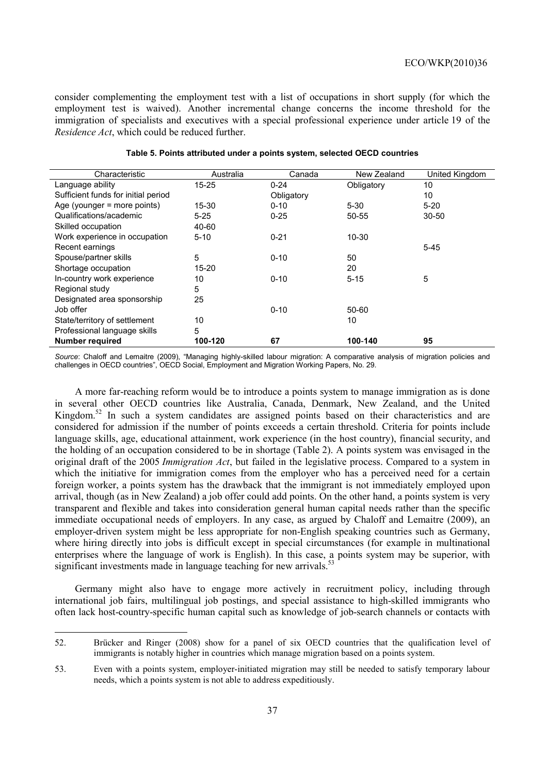consider complementing the employment test with a list of occupations in short supply (for which the employment test is waived). Another incremental change concerns the income threshold for the immigration of specialists and executives with a special professional experience under article 19 of the *Residence Act*, which could be reduced further.

| Characteristic                      | Australia | Canada     | New Zealand | United Kingdom |
|-------------------------------------|-----------|------------|-------------|----------------|
| Language ability                    | $15 - 25$ | $0 - 24$   | Obligatory  | 10             |
| Sufficient funds for initial period |           | Obligatory |             | 10             |
| Age (younger $=$ more points)       | 15-30     | $0 - 10$   | $5 - 30$    | $5 - 20$       |
| Qualifications/academic             | $5-25$    | $0 - 25$   | 50-55       | $30 - 50$      |
| Skilled occupation                  | 40-60     |            |             |                |
| Work experience in occupation       | $5 - 10$  | $0 - 21$   | $10 - 30$   |                |
| Recent earnings                     |           |            |             | $5 - 45$       |
| Spouse/partner skills               | 5         | $0 - 10$   | 50          |                |
| Shortage occupation                 | $15 - 20$ |            | 20          |                |
| In-country work experience          | 10        | $0 - 10$   | $5 - 15$    | 5              |
| Regional study                      | 5         |            |             |                |
| Designated area sponsorship         | 25        |            |             |                |
| Job offer                           |           | $0 - 10$   | 50-60       |                |
| State/territory of settlement       | 10        |            | 10          |                |
| Professional language skills        | 5         |            |             |                |
| <b>Number required</b>              | 100-120   | 67         | 100-140     | 95             |

#### **Table 5. Points attributed under a points system, selected OECD countries**

*Source*: Chaloff and Lemaitre (2009), "Managing highly-skilled labour migration: A comparative analysis of migration policies and challenges in OECD countries", OECD Social, Employment and Migration Working Papers, No. 29.

A more far-reaching reform would be to introduce a points system to manage immigration as is done in several other OECD countries like Australia, Canada, Denmark, New Zealand, and the United Kingdom.<sup>52</sup> In such a system candidates are assigned points based on their characteristics and are considered for admission if the number of points exceeds a certain threshold. Criteria for points include language skills, age, educational attainment, work experience (in the host country), financial security, and the holding of an occupation considered to be in shortage (Table 2). A points system was envisaged in the original draft of the 2005 *Immigration Act*, but failed in the legislative process. Compared to a system in which the initiative for immigration comes from the employer who has a perceived need for a certain foreign worker, a points system has the drawback that the immigrant is not immediately employed upon arrival, though (as in New Zealand) a job offer could add points. On the other hand, a points system is very transparent and flexible and takes into consideration general human capital needs rather than the specific immediate occupational needs of employers. In any case, as argued by Chaloff and Lemaitre (2009), an employer-driven system might be less appropriate for non-English speaking countries such as Germany, where hiring directly into jobs is difficult except in special circumstances (for example in multinational enterprises where the language of work is English). In this case, a points system may be superior, with significant investments made in language teaching for new arrivals.<sup>53</sup>

Germany might also have to engage more actively in recruitment policy, including through international job fairs, multilingual job postings, and special assistance to high-skilled immigrants who often lack host-country-specific human capital such as knowledge of job-search channels or contacts with

<sup>52.</sup> Brücker and Ringer (2008) show for a panel of six OECD countries that the qualification level of immigrants is notably higher in countries which manage migration based on a points system.

<sup>53.</sup> Even with a points system, employer-initiated migration may still be needed to satisfy temporary labour needs, which a points system is not able to address expeditiously.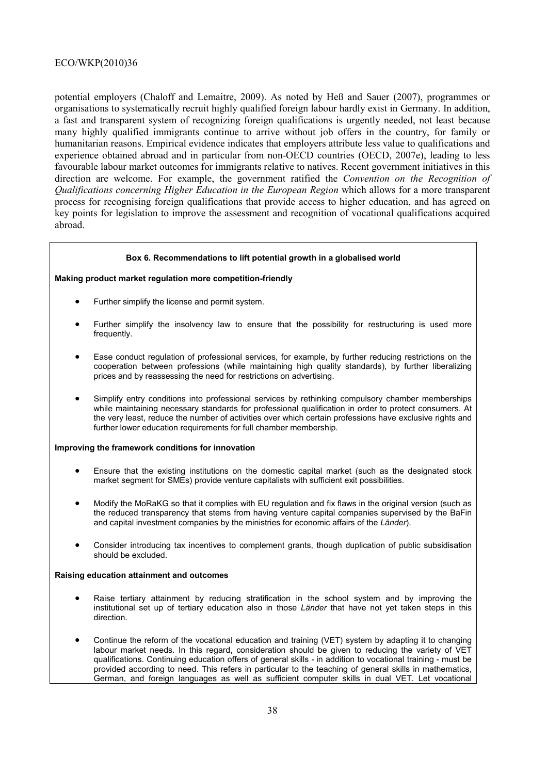potential employers (Chaloff and Lemaitre, 2009). As noted by Heß and Sauer (2007), programmes or organisations to systematically recruit highly qualified foreign labour hardly exist in Germany. In addition, a fast and transparent system of recognizing foreign qualifications is urgently needed, not least because many highly qualified immigrants continue to arrive without job offers in the country, for family or humanitarian reasons. Empirical evidence indicates that employers attribute less value to qualifications and experience obtained abroad and in particular from non-OECD countries (OECD, 2007e), leading to less favourable labour market outcomes for immigrants relative to natives. Recent government initiatives in this direction are welcome. For example, the government ratified the *Convention on the Recognition of Qualifications concerning Higher Education in the European Region* which allows for a more transparent process for recognising foreign qualifications that provide access to higher education, and has agreed on key points for legislation to improve the assessment and recognition of vocational qualifications acquired abroad.

# **Box 6. Recommendations to lift potential growth in a globalised world**

# **Making product market regulation more competition-friendly**

- Further simplify the license and permit system.
- Further simplify the insolvency law to ensure that the possibility for restructuring is used more frequently.
- Ease conduct regulation of professional services, for example, by further reducing restrictions on the cooperation between professions (while maintaining high quality standards), by further liberalizing prices and by reassessing the need for restrictions on advertising.
- Simplify entry conditions into professional services by rethinking compulsory chamber memberships while maintaining necessary standards for professional qualification in order to protect consumers. At the very least, reduce the number of activities over which certain professions have exclusive rights and further lower education requirements for full chamber membership.

#### **Improving the framework conditions for innovation**

- Ensure that the existing institutions on the domestic capital market (such as the designated stock market segment for SMEs) provide venture capitalists with sufficient exit possibilities.
- Modify the MoRaKG so that it complies with EU regulation and fix flaws in the original version (such as the reduced transparency that stems from having venture capital companies supervised by the BaFin and capital investment companies by the ministries for economic affairs of the *Länder*).
- Consider introducing tax incentives to complement grants, though duplication of public subsidisation should be excluded.

#### **Raising education attainment and outcomes**

- Raise tertiary attainment by reducing stratification in the school system and by improving the institutional set up of tertiary education also in those *Länder* that have not yet taken steps in this direction.
- Continue the reform of the vocational education and training (VET) system by adapting it to changing labour market needs. In this regard, consideration should be given to reducing the variety of VET qualifications. Continuing education offers of general skills - in addition to vocational training - must be provided according to need. This refers in particular to the teaching of general skills in mathematics, German, and foreign languages as well as sufficient computer skills in dual VET. Let vocational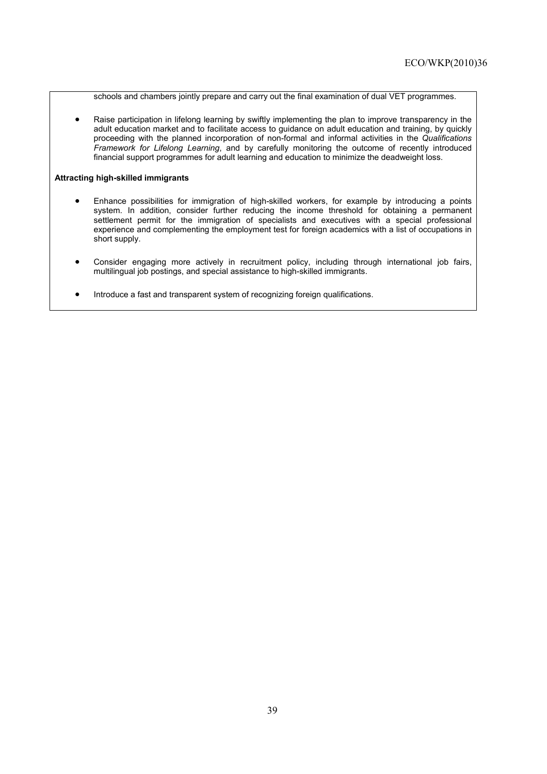schools and chambers jointly prepare and carry out the final examination of dual VET programmes.

Raise participation in lifelong learning by swiftly implementing the plan to improve transparency in the adult education market and to facilitate access to guidance on adult education and training, by quickly proceeding with the planned incorporation of non-formal and informal activities in the *Qualifications Framework for Lifelong Learning*, and by carefully monitoring the outcome of recently introduced financial support programmes for adult learning and education to minimize the deadweight loss.

#### **Attracting high-skilled immigrants**

- Enhance possibilities for immigration of high-skilled workers, for example by introducing a points system. In addition, consider further reducing the income threshold for obtaining a permanent settlement permit for the immigration of specialists and executives with a special professional experience and complementing the employment test for foreign academics with a list of occupations in short supply.
- Consider engaging more actively in recruitment policy, including through international job fairs, multilingual job postings, and special assistance to high-skilled immigrants.
- Introduce a fast and transparent system of recognizing foreign qualifications.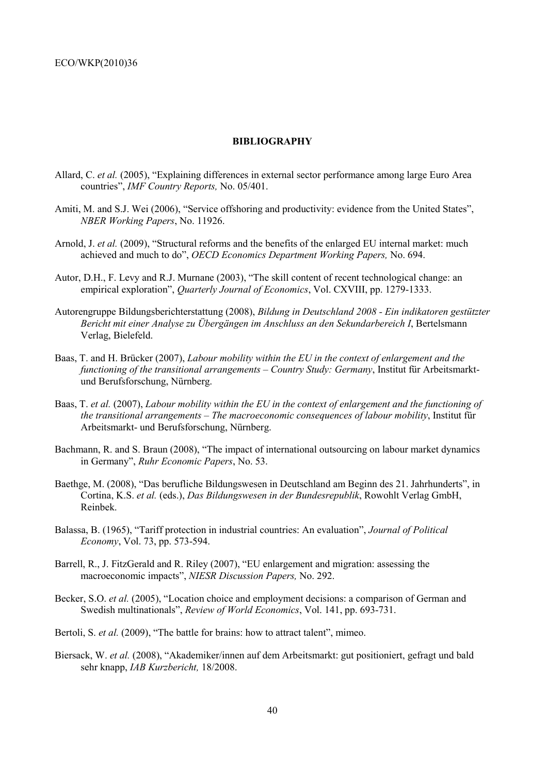# **BIBLIOGRAPHY**

- Allard, C. *et al.* (2005), "Explaining differences in external sector performance among large Euro Area countries", *IMF Country Reports,* No. 05/401.
- Amiti, M. and S.J. Wei (2006), "Service offshoring and productivity: evidence from the United States", *NBER Working Papers*, No. 11926.
- Arnold, J. *et al.* (2009), "Structural reforms and the benefits of the enlarged EU internal market: much achieved and much to do", *OECD Economics Department Working Papers,* No. 694.
- Autor, D.H., F. Levy and R.J. Murnane (2003), "The skill content of recent technological change: an empirical exploration", *Quarterly Journal of Economics*, Vol. CXVIII, pp. 1279-1333.
- Autorengruppe Bildungsberichterstattung (2008), *Bildung in Deutschland 2008 Ein indikatoren gestützter Bericht mit einer Analyse zu Übergängen im Anschluss an den Sekundarbereich I*, Bertelsmann Verlag, Bielefeld.
- Baas, T. and H. Brücker (2007), *Labour mobility within the EU in the context of enlargement and the functioning of the transitional arrangements – Country Study: Germany*, Institut für Arbeitsmarktund Berufsforschung, Nürnberg.
- Baas, T. *et al.* (2007), *Labour mobility within the EU in the context of enlargement and the functioning of the transitional arrangements – The macroeconomic consequences of labour mobility*, Institut für Arbeitsmarkt- und Berufsforschung, Nürnberg.
- Bachmann, R. and S. Braun (2008), "The impact of international outsourcing on labour market dynamics in Germany", *Ruhr Economic Papers*, No. 53.
- Baethge, M. (2008), "Das berufliche Bildungswesen in Deutschland am Beginn des 21. Jahrhunderts", in Cortina, K.S. *et al.* (eds.), *Das Bildungswesen in der Bundesrepublik*, Rowohlt Verlag GmbH, Reinbek.
- Balassa, B. (1965), "Tariff protection in industrial countries: An evaluation", *Journal of Political Economy*, Vol. 73, pp. 573-594.
- Barrell, R., J. FitzGerald and R. Riley (2007), "EU enlargement and migration: assessing the macroeconomic impacts", *NIESR Discussion Papers,* No. 292.
- Becker, S.O. *et al.* (2005), "Location choice and employment decisions: a comparison of German and Swedish multinationals", *Review of World Economics*, Vol. 141, pp. 693-731.
- Bertoli, S. *et al.* (2009), "The battle for brains: how to attract talent", mimeo.
- Biersack, W. *et al.* (2008), "Akademiker/innen auf dem Arbeitsmarkt: gut positioniert, gefragt und bald sehr knapp, *IAB Kurzbericht,* 18/2008.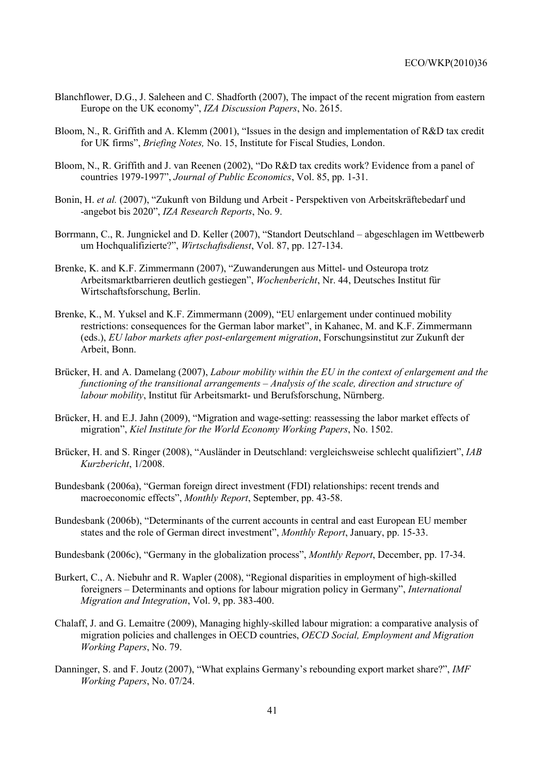- Blanchflower, D.G., J. Saleheen and C. Shadforth (2007), The impact of the recent migration from eastern Europe on the UK economy", *IZA Discussion Papers*, No. 2615.
- Bloom, N., R. Griffith and A. Klemm (2001), "Issues in the design and implementation of R&D tax credit for UK firms", *Briefing Notes,* No. 15, Institute for Fiscal Studies, London.
- Bloom, N., R. Griffith and J. van Reenen (2002), "Do R&D tax credits work? Evidence from a panel of countries 1979-1997", *Journal of Public Economics*, Vol. 85, pp. 1-31.
- Bonin, H. *et al.* (2007), "Zukunft von Bildung und Arbeit Perspektiven von Arbeitskräftebedarf und -angebot bis 2020", *IZA Research Reports*, No. 9.
- Borrmann, C., R. Jungnickel and D. Keller (2007), "Standort Deutschland abgeschlagen im Wettbewerb um Hochqualifizierte?", *Wirtschaftsdienst*, Vol. 87, pp. 127-134.
- Brenke, K. and K.F. Zimmermann (2007), "Zuwanderungen aus Mittel- und Osteuropa trotz Arbeitsmarktbarrieren deutlich gestiegen", *Wochenbericht*, Nr. 44, Deutsches Institut für Wirtschaftsforschung, Berlin.
- Brenke, K., M. Yuksel and K.F. Zimmermann (2009), "EU enlargement under continued mobility restrictions: consequences for the German labor market", in Kahanec, M. and K.F. Zimmermann (eds.), *EU labor markets after post-enlargement migration*, Forschungsinstitut zur Zukunft der Arbeit, Bonn.
- Brücker, H. and A. Damelang (2007), *Labour mobility within the EU in the context of enlargement and the functioning of the transitional arrangements – Analysis of the scale, direction and structure of labour mobility*, Institut für Arbeitsmarkt- und Berufsforschung, Nürnberg.
- Brücker, H. and E.J. Jahn (2009), "Migration and wage-setting: reassessing the labor market effects of migration", *Kiel Institute for the World Economy Working Papers*, No. 1502.
- Brücker, H. and S. Ringer (2008), "Ausländer in Deutschland: vergleichsweise schlecht qualifiziert", *IAB Kurzbericht*, 1/2008.
- Bundesbank (2006a), "German foreign direct investment (FDI) relationships: recent trends and macroeconomic effects", *Monthly Report*, September, pp. 43-58.
- Bundesbank (2006b), "Determinants of the current accounts in central and east European EU member states and the role of German direct investment", *Monthly Report*, January, pp. 15-33.

Bundesbank (2006c), "Germany in the globalization process", *Monthly Report*, December, pp. 17-34.

- Burkert, C., A. Niebuhr and R. Wapler (2008), "Regional disparities in employment of high-skilled foreigners – Determinants and options for labour migration policy in Germany", *International Migration and Integration*, Vol. 9, pp. 383-400.
- Chalaff, J. and G. Lemaitre (2009), Managing highly-skilled labour migration: a comparative analysis of migration policies and challenges in OECD countries, *OECD Social, Employment and Migration Working Papers*, No. 79.
- Danninger, S. and F. Joutz (2007), "What explains Germany's rebounding export market share?", *IMF Working Papers*, No. 07/24.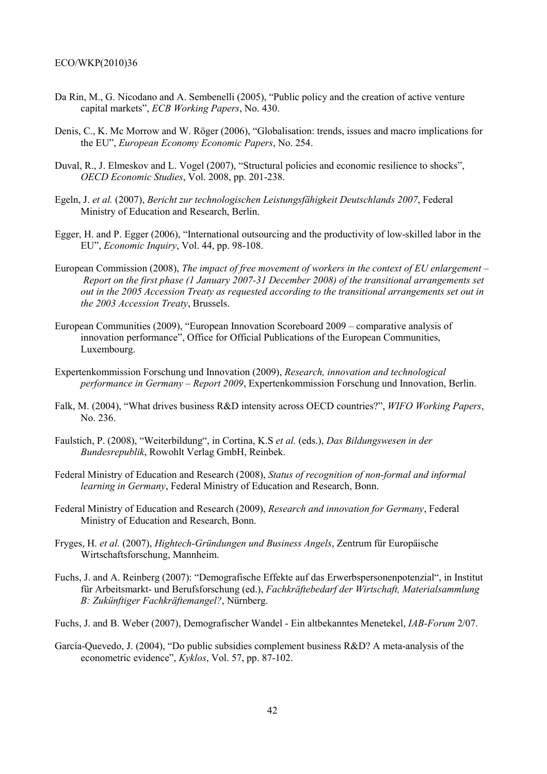- Da Rin, M., G. Nicodano and A. Sembenelli (2005), "Public policy and the creation of active venture capital markets", *ECB Working Papers*, No. 430.
- Denis, C., K. Mc Morrow and W. Röger (2006), "Globalisation: trends, issues and macro implications for the EU", *European Economy Economic Papers*, No. 254.
- Duval, R., J. Elmeskov and L. Vogel (2007), "Structural policies and economic resilience to shocks", *OECD Economic Studies*, Vol. 2008, pp. 201-238.
- Egeln, J. *et al.* (2007), *Bericht zur technologischen Leistungsfähigkeit Deutschlands 2007*, Federal Ministry of Education and Research, Berlin.
- Egger, H. and P. Egger (2006), "International outsourcing and the productivity of low-skilled labor in the EU", *Economic Inquiry*, Vol. 44, pp. 98-108.
- European Commission (2008), *The impact of free movement of workers in the context of EU enlargement – Report on the first phase (1 January 2007-31 December 2008) of the transitional arrangements set out in the 2005 Accession Treaty as requested according to the transitional arrangements set out in the 2003 Accession Treaty*, Brussels.
- European Communities (2009), "European Innovation Scoreboard 2009 comparative analysis of innovation performance", Office for Official Publications of the European Communities, Luxembourg.
- Expertenkommission Forschung und Innovation (2009), *Research, innovation and technological performance in Germany – Report 2009*, Expertenkommission Forschung und Innovation, Berlin.
- Falk, M. (2004), "What drives business R&D intensity across OECD countries?", *WIFO Working Papers*, No. 236.
- Faulstich, P. (2008), "Weiterbildung", in Cortina, K.S *et al.* (eds.), *Das Bildungswesen in der Bundesrepublik*, Rowohlt Verlag GmbH, Reinbek.
- Federal Ministry of Education and Research (2008), *Status of recognition of non-formal and informal learning in Germany*, Federal Ministry of Education and Research, Bonn.
- Federal Ministry of Education and Research (2009), *Research and innovation for Germany*, Federal Ministry of Education and Research, Bonn.
- Fryges, H. *et al.* (2007), *Hightech-Gründungen und Business Angels*, Zentrum für Europäische Wirtschaftsforschung, Mannheim.
- Fuchs, J. and A. Reinberg (2007): "Demografische Effekte auf das Erwerbspersonenpotenzial", in Institut für Arbeitsmarkt- und Berufsforschung (ed.), *Fachkräftebedarf der Wirtschaft, Materialsammlung B: Zukünftiger Fachkräftemangel?*, Nürnberg.
- Fuchs, J. and B. Weber (2007), Demografischer Wandel Ein altbekanntes Menetekel, *IAB-Forum* 2/07.
- García-Quevedo, J. (2004), "Do public subsidies complement business R&D? A meta-analysis of the econometric evidence", *Kyklos*, Vol. 57, pp. 87-102.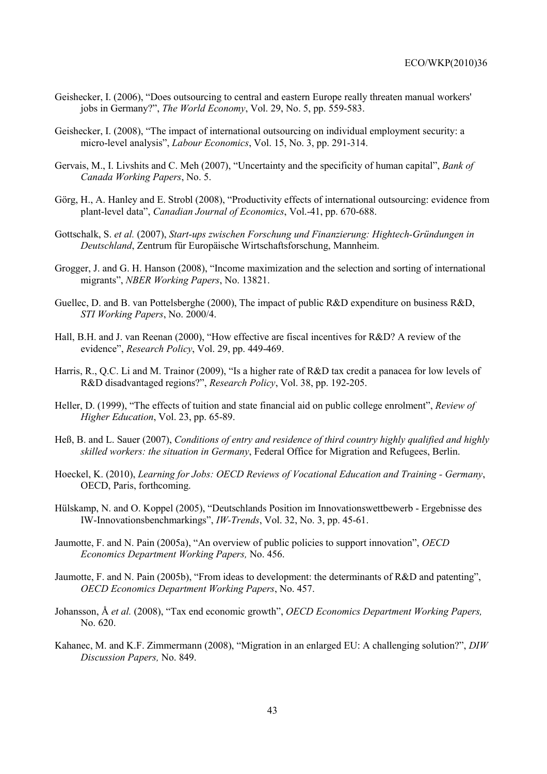- Geishecker, I. (2006), "Does outsourcing to central and eastern Europe really threaten manual workers' jobs in Germany?", *The World Economy*, Vol. 29, No. 5, pp. 559-583.
- Geishecker, I. (2008), "The impact of international outsourcing on individual employment security: a micro-level analysis", *Labour Economics*, Vol. 15, No. 3, pp. 291-314.
- Gervais, M., I. Livshits and C. Meh (2007), "Uncertainty and the specificity of human capital", *Bank of Canada Working Papers*, No. 5.
- Görg, H., A. Hanley and E. Strobl (2008), "Productivity effects of international outsourcing: evidence from plant-level data", *Canadian Journal of Economics*, Vol.-41, pp. 670-688.
- Gottschalk, S. *et al.* (2007), *Start-ups zwischen Forschung und Finanzierung: Hightech-Gründungen in Deutschland*, Zentrum für Europäische Wirtschaftsforschung, Mannheim.
- Grogger, J. and G. H. Hanson (2008), "Income maximization and the selection and sorting of international migrants", *NBER Working Papers*, No. 13821.
- Guellec, D. and B. van Pottelsberghe (2000), The impact of public R&D expenditure on business R&D, *STI Working Papers*, No. 2000/4.
- Hall, B.H. and J. van Reenan (2000), "How effective are fiscal incentives for R&D? A review of the evidence", *Research Policy*, Vol. 29, pp. 449-469.
- Harris, R., Q.C. Li and M. Trainor (2009), "Is a higher rate of R&D tax credit a panacea for low levels of R&D disadvantaged regions?", *Research Policy*, Vol. 38, pp. 192-205.
- Heller, D. (1999), "The effects of tuition and state financial aid on public college enrolment", *Review of Higher Education*, Vol. 23, pp. 65-89.
- Heß, B. and L. Sauer (2007), *Conditions of entry and residence of third country highly qualified and highly skilled workers: the situation in Germany*, Federal Office for Migration and Refugees, Berlin.
- Hoeckel, K. (2010), *Learning for Jobs: OECD Reviews of Vocational Education and Training Germany*, OECD, Paris, forthcoming.
- Hülskamp, N. and O. Koppel (2005), "Deutschlands Position im Innovationswettbewerb Ergebnisse des IW-Innovationsbenchmarkings", *IW-Trends*, Vol. 32, No. 3, pp. 45-61.
- Jaumotte, F. and N. Pain (2005a), "An overview of public policies to support innovation", *OECD Economics Department Working Papers,* No. 456.
- Jaumotte, F. and N. Pain (2005b), "From ideas to development: the determinants of R&D and patenting", *OECD Economics Department Working Papers*, No. 457.
- Johansson, Å *et al.* (2008), "Tax end economic growth", *OECD Economics Department Working Papers,* No. 620.
- Kahanec, M. and K.F. Zimmermann (2008), "Migration in an enlarged EU: A challenging solution?", *DIW Discussion Papers,* No. 849.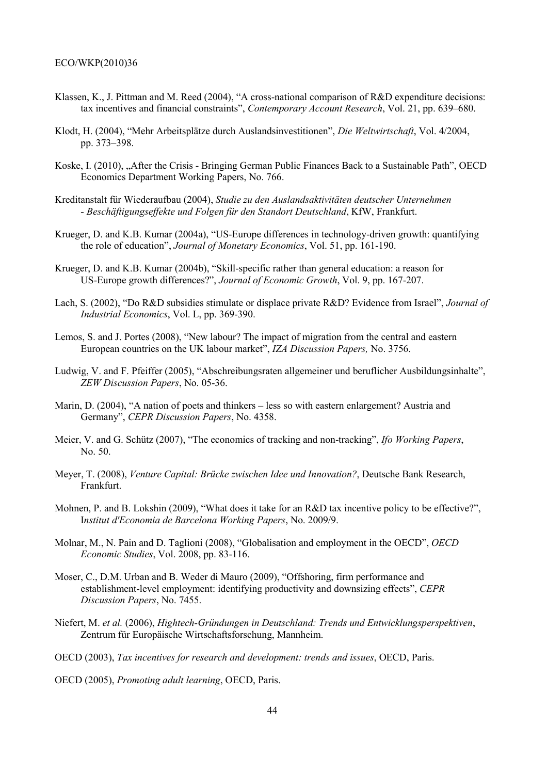- Klassen, K., J. Pittman and M. Reed (2004), "A cross-national comparison of R&D expenditure decisions: tax incentives and financial constraints", *Contemporary Account Research*, Vol. 21, pp. 639–680.
- Klodt, H. (2004), "Mehr Arbeitsplätze durch Auslandsinvestitionen", *Die Weltwirtschaft*, Vol. 4/2004, pp. 373–398.
- Koske, I. (2010), "After the Crisis Bringing German Public Finances Back to a Sustainable Path", OECD Economics Department Working Papers, No. 766.
- Kreditanstalt für Wiederaufbau (2004), *Studie zu den Auslandsaktivitäten deutscher Unternehmen - Beschäftigungseffekte und Folgen für den Standort Deutschland*, KfW, Frankfurt.
- Krueger, D. and K.B. Kumar (2004a), "US-Europe differences in technology-driven growth: quantifying the role of education", *Journal of Monetary Economics*, Vol. 51, pp. 161-190.
- Krueger, D. and K.B. Kumar (2004b), "Skill-specific rather than general education: a reason for US-Europe growth differences?", *Journal of Economic Growth*, Vol. 9, pp. 167-207.
- Lach, S. (2002), "Do R&D subsidies stimulate or displace private R&D? Evidence from Israel", *Journal of Industrial Economics*, Vol. L, pp. 369-390.
- Lemos, S. and J. Portes (2008), "New labour? The impact of migration from the central and eastern European countries on the UK labour market", *IZA Discussion Papers,* No. 3756.
- Ludwig, V. and F. Pfeiffer (2005), "Abschreibungsraten allgemeiner und beruflicher Ausbildungsinhalte", *ZEW Discussion Papers*, No. 05-36.
- Marin, D. (2004), "A nation of poets and thinkers less so with eastern enlargement? Austria and Germany", *CEPR Discussion Papers*, No. 4358.
- Meier, V. and G. Schütz (2007), "The economics of tracking and non-tracking", *Ifo Working Papers*, No. 50.
- Meyer, T. (2008), *Venture Capital: Brücke zwischen Idee und Innovation?*, Deutsche Bank Research, Frankfurt.
- Mohnen, P. and B. Lokshin (2009), "What does it take for an R&D tax incentive policy to be effective?". I*nstitut d'Economia de Barcelona Working Papers*, No. 2009/9.
- Molnar, M., N. Pain and D. Taglioni (2008), "Globalisation and employment in the OECD", *OECD Economic Studies*, Vol. 2008, pp. 83-116.
- Moser, C., D.M. Urban and B. Weder di Mauro (2009), "Offshoring, firm performance and establishment-level employment: identifying productivity and downsizing effects", *CEPR Discussion Papers*, No. 7455.
- Niefert, M. *et al.* (2006), *Hightech-Gründungen in Deutschland: Trends und Entwicklungsperspektiven*, Zentrum für Europäische Wirtschaftsforschung, Mannheim.

OECD (2003), *Tax incentives for research and development: trends and issues*, OECD, Paris.

OECD (2005), *Promoting adult learning*, OECD, Paris.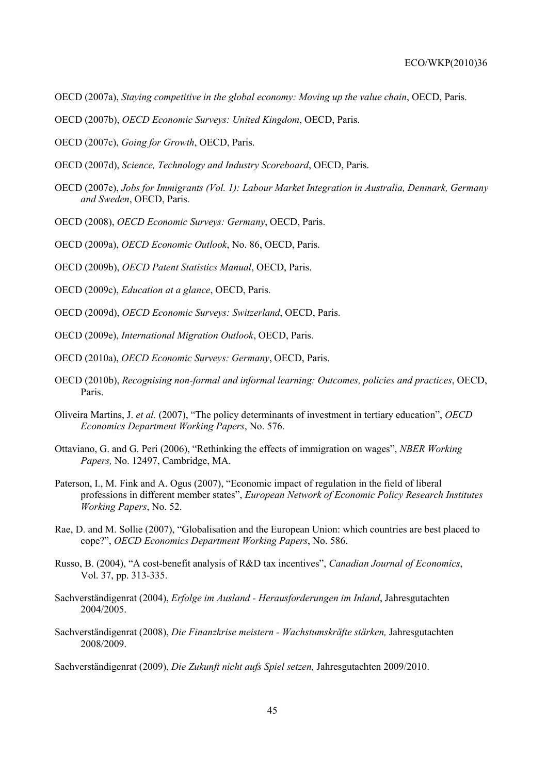- OECD (2007a), *Staying competitive in the global economy: Moving up the value chain*, OECD, Paris.
- OECD (2007b), *OECD Economic Surveys: United Kingdom*, OECD, Paris.
- OECD (2007c), *Going for Growth*, OECD, Paris.
- OECD (2007d), *Science, Technology and Industry Scoreboard*, OECD, Paris.
- OECD (2007e), *Jobs for Immigrants (Vol. 1): Labour Market Integration in Australia, Denmark, Germany and Sweden*, OECD, Paris.
- OECD (2008), *OECD Economic Surveys: Germany*, OECD, Paris.
- OECD (2009a), *OECD Economic Outlook*, No. 86, OECD, Paris.
- OECD (2009b), *OECD Patent Statistics Manual*, OECD, Paris.
- OECD (2009c), *Education at a glance*, OECD, Paris.
- OECD (2009d), *OECD Economic Surveys: Switzerland*, OECD, Paris.
- OECD (2009e), *International Migration Outlook*, OECD, Paris.
- OECD (2010a), *OECD Economic Surveys: Germany*, OECD, Paris.
- OECD (2010b), *Recognising non-formal and informal learning: Outcomes, policies and practices*, OECD, Paris.
- Oliveira Martins, J. *et al.* (2007), "The policy determinants of investment in tertiary education", *OECD Economics Department Working Papers*, No. 576.
- Ottaviano, G. and G. Peri (2006), "Rethinking the effects of immigration on wages", *NBER Working Papers,* No. 12497, Cambridge, MA.
- Paterson, I., M. Fink and A. Ogus (2007), "Economic impact of regulation in the field of liberal professions in different member states", *European Network of Economic Policy Research Institutes Working Papers*, No. 52.
- Rae, D. and M. Sollie (2007), "Globalisation and the European Union: which countries are best placed to cope?", *OECD Economics Department Working Papers*, No. 586.
- Russo, B. (2004), "A cost-benefit analysis of R&D tax incentives", *Canadian Journal of Economics*, Vol. 37, pp. 313-335.
- Sachverständigenrat (2004), *Erfolge im Ausland Herausforderungen im Inland*, Jahresgutachten 2004/2005.
- Sachverständigenrat (2008), *Die Finanzkrise meistern Wachstumskräfte stärken,* Jahresgutachten 2008/2009.

Sachverständigenrat (2009), *Die Zukunft nicht aufs Spiel setzen,* Jahresgutachten 2009/2010.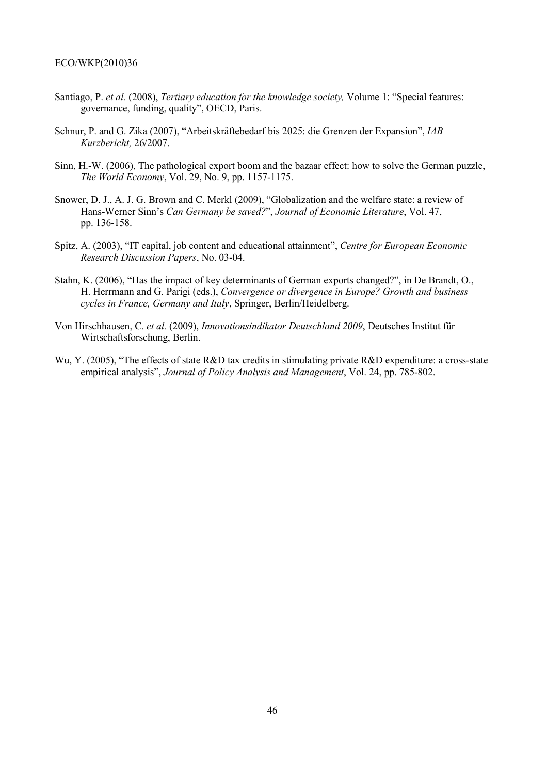- Santiago, P. *et al.* (2008), *Tertiary education for the knowledge society,* Volume 1: "Special features: governance, funding, quality", OECD, Paris.
- Schnur, P. and G. Zika (2007), "Arbeitskräftebedarf bis 2025: die Grenzen der Expansion", *IAB Kurzbericht,* 26/2007.
- Sinn, H.-W. (2006), The pathological export boom and the bazaar effect: how to solve the German puzzle, *The World Economy*, Vol. 29, No. 9, pp. 1157-1175.
- Snower, D. J., A. J. G. Brown and C. Merkl (2009), "Globalization and the welfare state: a review of Hans-Werner Sinn's *Can Germany be saved?*", *Journal of Economic Literature*, Vol. 47, pp. 136-158.
- Spitz, A. (2003), "IT capital, job content and educational attainment", *Centre for European Economic Research Discussion Papers*, No. 03-04.
- Stahn, K. (2006), "Has the impact of key determinants of German exports changed?", in De Brandt, O., H. Herrmann and G. Parigi (eds.), *Convergence or divergence in Europe? Growth and business cycles in France, Germany and Italy*, Springer, Berlin/Heidelberg.
- Von Hirschhausen, C. *et al.* (2009), *Innovationsindikator Deutschland 2009*, Deutsches Institut für Wirtschaftsforschung, Berlin.
- Wu, Y. (2005), "The effects of state R&D tax credits in stimulating private R&D expenditure: a cross-state empirical analysis", *Journal of Policy Analysis and Management*, Vol. 24, pp. 785-802.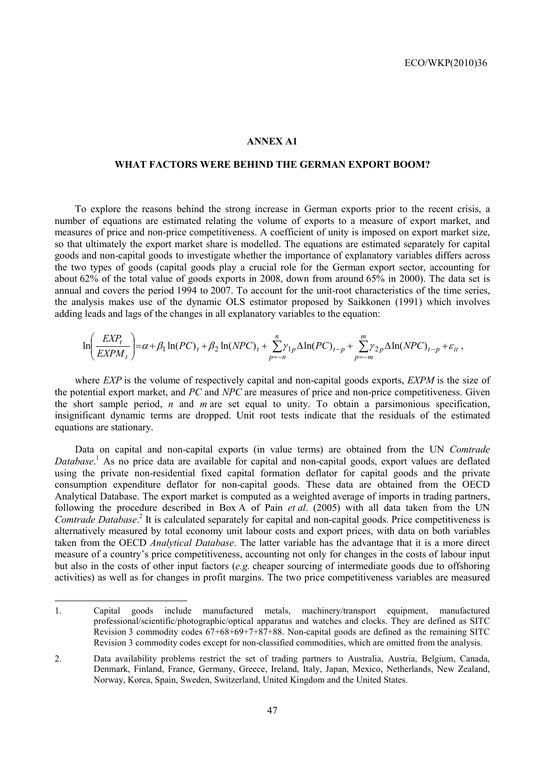#### **ANNEX A1**

#### **WHAT FACTORS WERE BEHIND THE GERMAN EXPORT BOOM?**

To explore the reasons behind the strong increase in German exports prior to the recent crisis, a number of equations are estimated relating the volume of exports to a measure of export market, and measures of price and non-price competitiveness. A coefficient of unity is imposed on export market size, so that ultimately the export market share is modelled. The equations are estimated separately for capital goods and non-capital goods to investigate whether the importance of explanatory variables differs across the two types of goods (capital goods play a crucial role for the German export sector, accounting for about 62% of the total value of goods exports in 2008, down from around 65% in 2000). The data set is annual and covers the period 1994 to 2007. To account for the unit-root characteristics of the time series, the analysis makes use of the dynamic OLS estimator proposed by Saikkonen (1991) which involves adding leads and lags of the changes in all explanatory variables to the equation:

$$
\ln\left(\frac{EXP_{t}}{EXPM_{t}}\right) = \alpha + \beta_1 \ln(PC)_{t} + \beta_2 \ln(NPC)_{t} + \sum_{p=-n}^{n} \gamma_{1p} \Delta \ln(PC)_{t-p} + \sum_{p=-m}^{m} \gamma_{2p} \Delta \ln(NPC)_{t-p} + \varepsilon_{it},
$$

where *EXP* is the volume of respectively capital and non-capital goods exports, *EXPM* is the size of the potential export market, and *PC* and *NPC* are measures of price and non-price competitiveness. Given the short sample period, *n* and *m* are set equal to unity. To obtain a parsimonious specification, insignificant dynamic terms are dropped. Unit root tests indicate that the residuals of the estimated equations are stationary.

Data on capital and non-capital exports (in value terms) are obtained from the UN *Comtrade*  Database.<sup>1</sup> As no price data are available for capital and non-capital goods, export values are deflated using the private non-residential fixed capital formation deflator for capital goods and the private consumption expenditure deflator for non-capital goods. These data are obtained from the OECD Analytical Database. The export market is computed as a weighted average of imports in trading partners, following the procedure described in Box A of Pain *et al*. (2005) with all data taken from the UN Comtrade Database.<sup>2</sup> It is calculated separately for capital and non-capital goods. Price competitiveness is alternatively measured by total economy unit labour costs and export prices, with data on both variables taken from the OECD *Analytical Database*. The latter variable has the advantage that it is a more direct measure of a country's price competitiveness, accounting not only for changes in the costs of labour input but also in the costs of other input factors (*e.g.* cheaper sourcing of intermediate goods due to offshoring activities) as well as for changes in profit margins. The two price competitiveness variables are measured

<sup>1.</sup> Capital goods include manufactured metals, machinery/transport equipment, manufactured professional/scientific/photographic/optical apparatus and watches and clocks. They are defined as SITC Revision 3 commodity codes 67+68+69+7+87+88. Non-capital goods are defined as the remaining SITC Revision 3 commodity codes except for non-classified commodities, which are omitted from the analysis.

<sup>2.</sup> Data availability problems restrict the set of trading partners to Australia, Austria, Belgium, Canada, Denmark, Finland, France, Germany, Greece, Ireland, Italy, Japan, Mexico, Netherlands, New Zealand, Norway, Korea, Spain, Sweden, Switzerland, United Kingdom and the United States.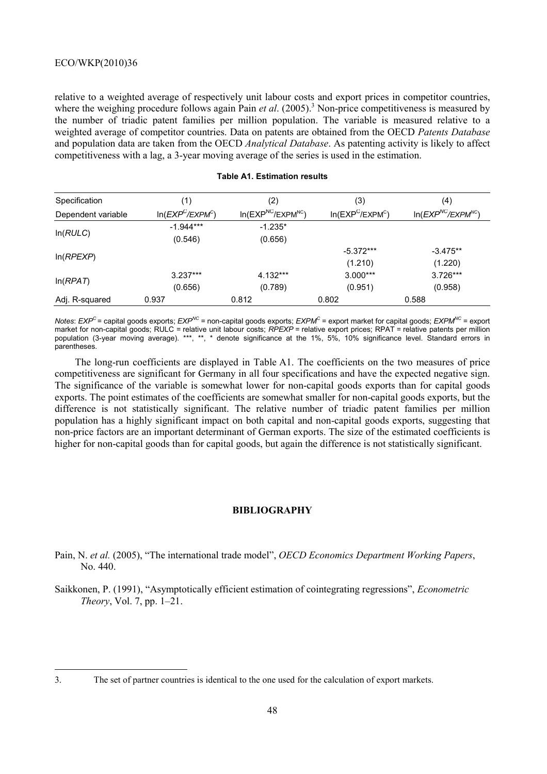relative to a weighted average of respectively unit labour costs and export prices in competitor countries, where the weighing procedure follows again Pain *et al.* (2005).<sup>3</sup> Non-price competitiveness is measured by the number of triadic patent families per million population. The variable is measured relative to a weighted average of competitor countries. Data on patents are obtained from the OECD *Patents Database* and population data are taken from the OECD *Analytical Database*. As patenting activity is likely to affect competitiveness with a lag, a 3-year moving average of the series is used in the estimation.

| Specification      | (1)                                      | (2)                | (3)                                      | (4)                 |
|--------------------|------------------------------------------|--------------------|------------------------------------------|---------------------|
| Dependent variable | In(EXP <sup>C</sup> /EXPM <sup>C</sup> ) | $In(EXPNC/EXPMNC)$ | In(EXP <sup>C</sup> /EXPM <sup>C</sup> ) | $In (EXPNC/EXPMNC)$ |
| In(RULC)           | $-1.944***$                              | $-1.235*$          |                                          |                     |
|                    | (0.546)                                  | (0.656)            |                                          |                     |
| In(RPEXP)          |                                          |                    | $-5.372***$                              | $-3.475**$          |
|                    |                                          |                    | (1.210)                                  | (1.220)             |
| In(RPAT)           | $3.237***$                               | 4.132***           | $3.000***$                               | $3.726***$          |
|                    | (0.656)                                  | (0.789)            | (0.951)                                  | (0.958)             |
| Adj. R-squared     | 0.937                                    | 0.812              | 0.802                                    | 0.588               |

# **Table A1. Estimation results**

*Notes*: *EXP<sup>C</sup>*= capital goods exports; *EXPNC* = non-capital goods exports; *EXPM<sup>C</sup>* = export market for capital goods; *EXPMNC* = export market for non-capital goods; RULC = relative unit labour costs; *RPEXP* = relative export prices; RPAT = relative patents per million population (3-year moving average). \*\*\*, \*\*, \* denote significance at the 1%, 5%, 10% significance level. Standard errors in parentheses.

The long-run coefficients are displayed in Table A1. The coefficients on the two measures of price competitiveness are significant for Germany in all four specifications and have the expected negative sign. The significance of the variable is somewhat lower for non-capital goods exports than for capital goods exports. The point estimates of the coefficients are somewhat smaller for non-capital goods exports, but the difference is not statistically significant. The relative number of triadic patent families per million population has a highly significant impact on both capital and non-capital goods exports, suggesting that non-price factors are an important determinant of German exports. The size of the estimated coefficients is higher for non-capital goods than for capital goods, but again the difference is not statistically significant.

#### **BIBLIOGRAPHY**

Pain, N. *et al.* (2005), "The international trade model", *OECD Economics Department Working Papers*, No. 440.

Saikkonen, P. (1991), "Asymptotically efficient estimation of cointegrating regressions", *Econometric Theory*, Vol. 7, pp. 1–21.

<sup>3.</sup> The set of partner countries is identical to the one used for the calculation of export markets.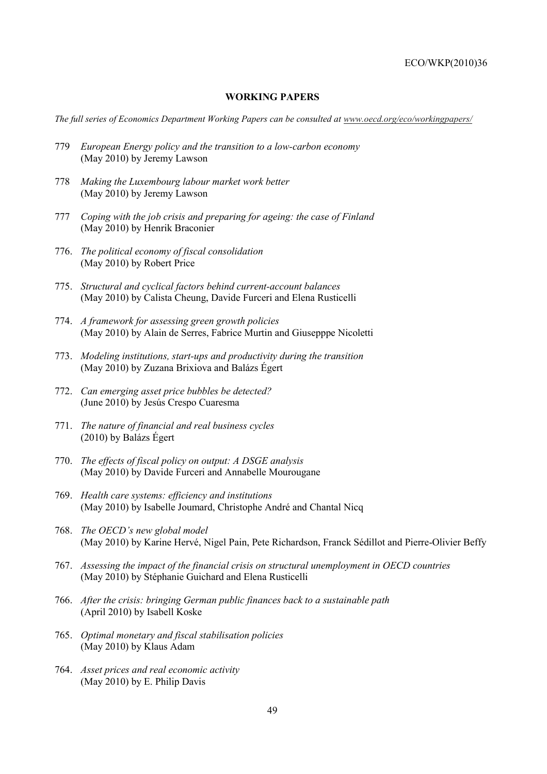# **WORKING PAPERS**

*The full series of Economics Department Working Papers can be consulted at www.oecd.org/eco/workingpapers/*

- 779 *European Energy policy and the transition to a low-carbon economy* (May 2010) by Jeremy Lawson
- 778 *Making the Luxembourg labour market work better* (May 2010) by Jeremy Lawson
- 777 *Coping with the job crisis and preparing for ageing: the case of Finland* (May 2010) by Henrik Braconier
- 776. *The political economy of fiscal consolidation*  (May 2010) by Robert Price
- 775. *Structural and cyclical factors behind current-account balances*  (May 2010) by Calista Cheung, Davide Furceri and Elena Rusticelli
- 774. *A framework for assessing green growth policies*  (May 2010) by Alain de Serres, Fabrice Murtin and Giusepppe Nicoletti
- 773. *Modeling institutions, start-ups and productivity during the transition* (May 2010) by Zuzana Brixiova and Balázs Égert
- 772. *Can emerging asset price bubbles be detected?*  (June 2010) by Jesús Crespo Cuaresma
- 771. *The nature of financial and real business cycles*  (2010) by Balázs Égert
- 770. *The effects of fiscal policy on output: A DSGE analysis* (May 2010) by Davide Furceri and Annabelle Mourougane
- 769. *Health care systems: efficiency and institutions*  (May 2010) by Isabelle Joumard, Christophe André and Chantal Nicq
- 768. *The OECD's new global model*  (May 2010) by Karine Hervé, Nigel Pain, Pete Richardson, Franck Sédillot and Pierre-Olivier Beffy
- 767. *Assessing the impact of the financial crisis on structural unemployment in OECD countries*  (May 2010) by Stéphanie Guichard and Elena Rusticelli
- 766. *After the crisis: bringing German public finances back to a sustainable path* (April 2010) by Isabell Koske
- 765. *Optimal monetary and fiscal stabilisation policies*  (May 2010) by Klaus Adam
- 764. *Asset prices and real economic activity*  (May 2010) by E. Philip Davis